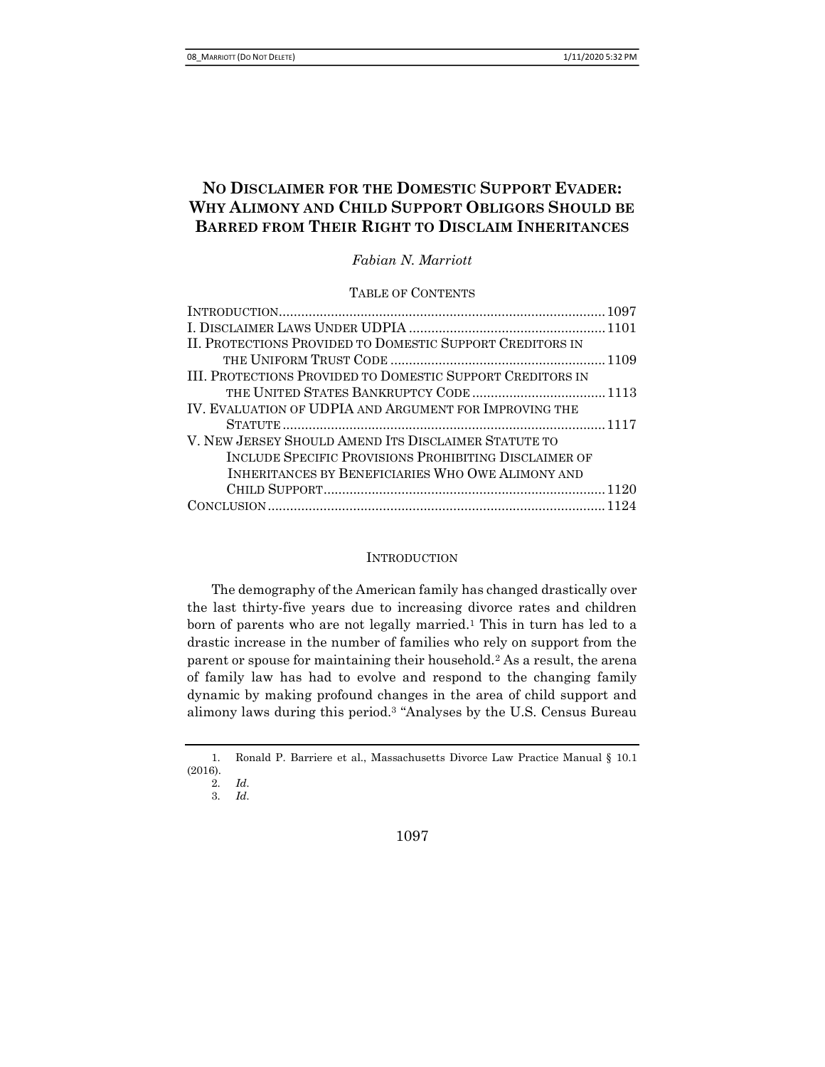# NO DISCLAIMER FOR THE DOMESTIC SUPPORT EVADER: WHY ALIMONY AND CHILD SUPPORT OBLIGORS SHOULD BE BARRED FROM THEIR RIGHT TO DISCLAIM INHERITANCES

Fabian N. Marriott

TABLE OF CONTENTS

| II. PROTECTIONS PROVIDED TO DOMESTIC SUPPORT CREDITORS IN  |  |
|------------------------------------------------------------|--|
|                                                            |  |
| III. PROTECTIONS PROVIDED TO DOMESTIC SUPPORT CREDITORS IN |  |
|                                                            |  |
| IV. EVALUATION OF UDPIA AND ARGUMENT FOR IMPROVING THE     |  |
|                                                            |  |
| V. NEW JERSEY SHOULD AMEND ITS DISCLAIMER STATUTE TO       |  |
| INCLUDE SPECIFIC PROVISIONS PROHIBITING DISCLAIMER OF      |  |
| INHERITANCES BY BENEFICIARIES WHO OWE ALIMONY AND          |  |
|                                                            |  |
|                                                            |  |

#### **INTRODUCTION**

The demography of the American family has changed drastically over the last thirty-five years due to increasing divorce rates and children born of parents who are not legally married.<sup>1</sup> This in turn has led to a drastic increase in the number of families who rely on support from the parent or spouse for maintaining their household.<sup>2</sup> As a result, the arena of family law has had to evolve and respond to the changing family dynamic by making profound changes in the area of child support and alimony laws during this period.3 "Analyses by the U.S. Census Bureau

1097

<sup>1.</sup> Ronald P. Barriere et al., Massachusetts Divorce Law Practice Manual § 10.1 (2016).

<sup>2.</sup> Id.

<sup>3.</sup> Id.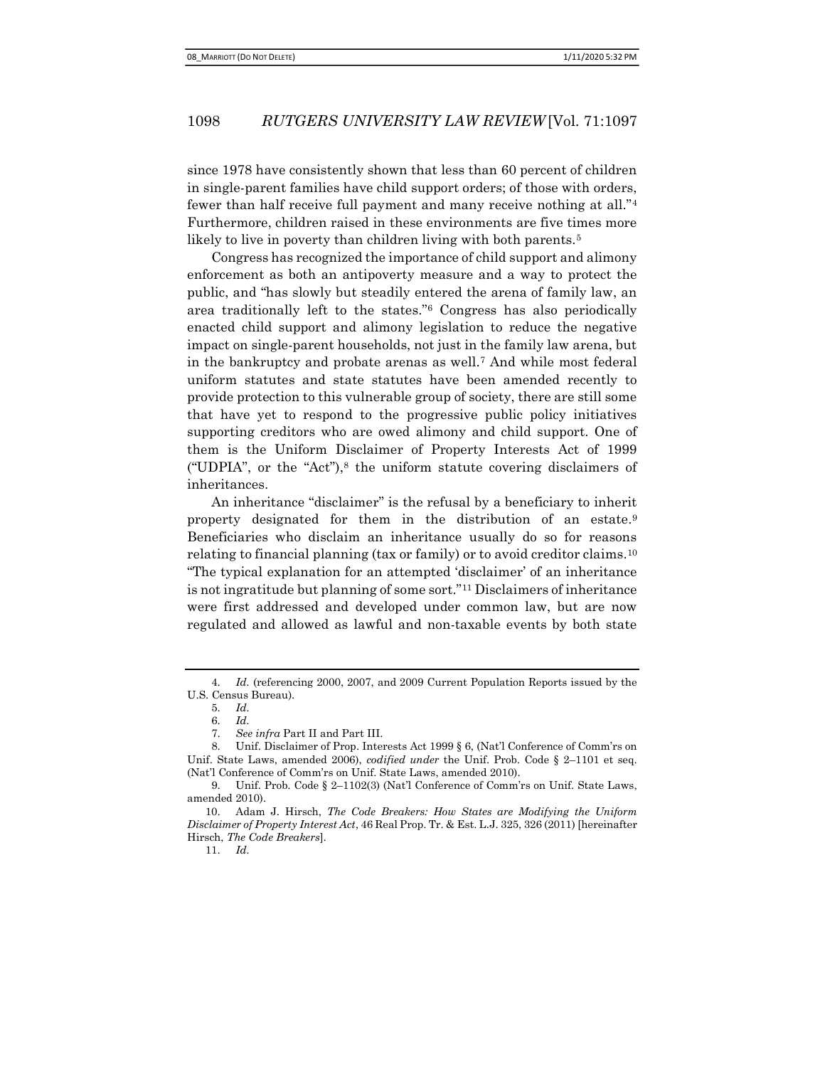since 1978 have consistently shown that less than 60 percent of children in single-parent families have child support orders; of those with orders, fewer than half receive full payment and many receive nothing at all."<sup>4</sup> Furthermore, children raised in these environments are five times more likely to live in poverty than children living with both parents.<sup>5</sup>

Congress has recognized the importance of child support and alimony enforcement as both an antipoverty measure and a way to protect the public, and "has slowly but steadily entered the arena of family law, an area traditionally left to the states."6 Congress has also periodically enacted child support and alimony legislation to reduce the negative impact on single-parent households, not just in the family law arena, but in the bankruptcy and probate arenas as well.7 And while most federal uniform statutes and state statutes have been amended recently to provide protection to this vulnerable group of society, there are still some that have yet to respond to the progressive public policy initiatives supporting creditors who are owed alimony and child support. One of them is the Uniform Disclaimer of Property Interests Act of 1999 ("UDPIA", or the "Act"),8 the uniform statute covering disclaimers of inheritances.

An inheritance "disclaimer" is the refusal by a beneficiary to inherit property designated for them in the distribution of an estate.<sup>9</sup> Beneficiaries who disclaim an inheritance usually do so for reasons relating to financial planning (tax or family) or to avoid creditor claims.<sup>10</sup> "The typical explanation for an attempted 'disclaimer' of an inheritance is not ingratitude but planning of some sort."11 Disclaimers of inheritance were first addressed and developed under common law, but are now regulated and allowed as lawful and non-taxable events by both state

11. Id.

<sup>4.</sup> Id. (referencing 2000, 2007, and 2009 Current Population Reports issued by the U.S. Census Bureau).

<sup>5.</sup> Id.

<sup>6.</sup> Id.

<sup>7.</sup> See infra Part II and Part III.

<sup>8.</sup> Unif. Disclaimer of Prop. Interests Act 1999 § 6, (Nat'l Conference of Comm'rs on Unif. State Laws, amended 2006), *codified under* the Unif. Prob. Code  $\S$  2–1101 et seq. (Nat'l Conference of Comm'rs on Unif. State Laws, amended 2010).

<sup>9.</sup> Unif. Prob. Code § 2–1102(3) (Nat'l Conference of Comm'rs on Unif. State Laws, amended 2010).

<sup>10.</sup> Adam J. Hirsch, The Code Breakers: How States are Modifying the Uniform Disclaimer of Property Interest Act, 46 Real Prop. Tr. & Est. L.J. 325, 326 (2011) [hereinafter Hirsch, The Code Breakers].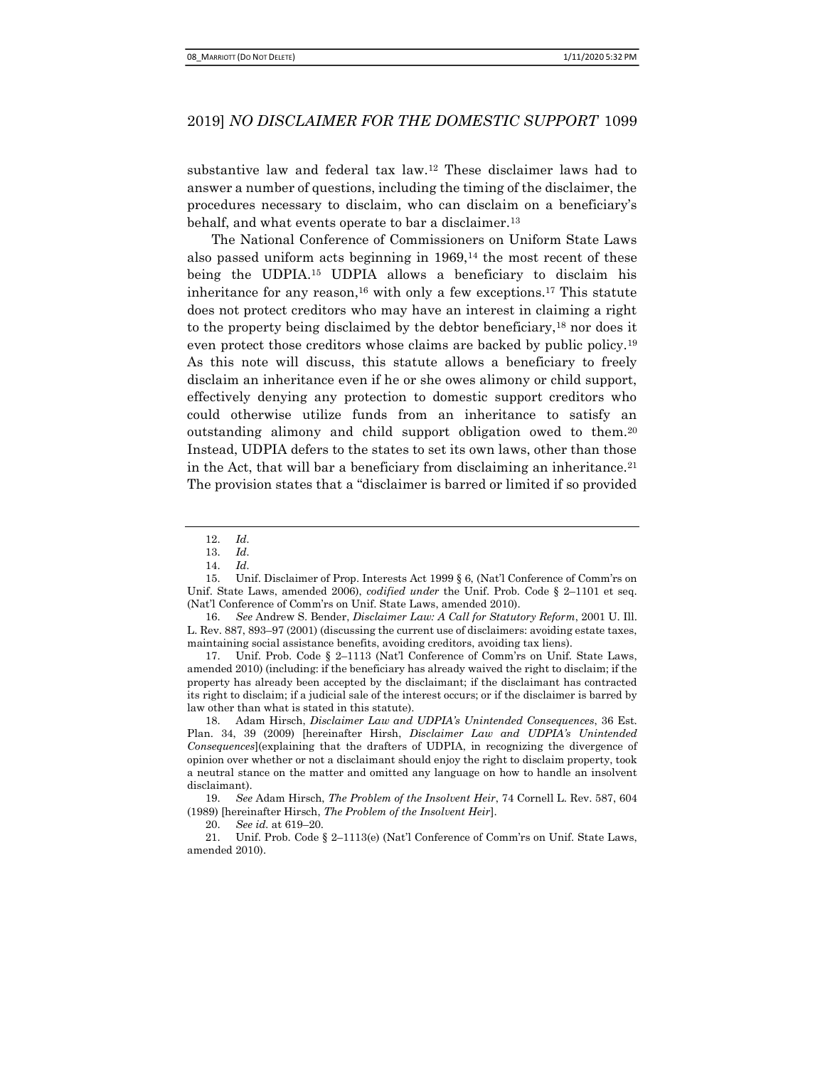substantive law and federal tax law.12 These disclaimer laws had to answer a number of questions, including the timing of the disclaimer, the procedures necessary to disclaim, who can disclaim on a beneficiary's behalf, and what events operate to bar a disclaimer.<sup>13</sup>

The National Conference of Commissioners on Uniform State Laws also passed uniform acts beginning in 1969,14 the most recent of these being the UDPIA.15 UDPIA allows a beneficiary to disclaim his inheritance for any reason,<sup>16</sup> with only a few exceptions.<sup>17</sup> This statute does not protect creditors who may have an interest in claiming a right to the property being disclaimed by the debtor beneficiary,18 nor does it even protect those creditors whose claims are backed by public policy.<sup>19</sup> As this note will discuss, this statute allows a beneficiary to freely disclaim an inheritance even if he or she owes alimony or child support, effectively denying any protection to domestic support creditors who could otherwise utilize funds from an inheritance to satisfy an outstanding alimony and child support obligation owed to them.<sup>20</sup> Instead, UDPIA defers to the states to set its own laws, other than those in the Act, that will bar a beneficiary from disclaiming an inheritance.<sup>21</sup> The provision states that a "disclaimer is barred or limited if so provided

17. Unif. Prob. Code § 2–1113 (Nat'l Conference of Comm'rs on Unif. State Laws, amended 2010) (including: if the beneficiary has already waived the right to disclaim; if the property has already been accepted by the disclaimant; if the disclaimant has contracted its right to disclaim; if a judicial sale of the interest occurs; or if the disclaimer is barred by law other than what is stated in this statute).

18. Adam Hirsch, Disclaimer Law and UDPIA's Unintended Consequences, 36 Est. Plan. 34, 39 (2009) [hereinafter Hirsh, Disclaimer Law and UDPIA's Unintended Consequences](explaining that the drafters of UDPIA, in recognizing the divergence of opinion over whether or not a disclaimant should enjoy the right to disclaim property, took a neutral stance on the matter and omitted any language on how to handle an insolvent disclaimant).

19. See Adam Hirsch, The Problem of the Insolvent Heir, 74 Cornell L. Rev. 587, 604 (1989) [hereinafter Hirsch, The Problem of the Insolvent Heir].

20. See id. at 619–20.

21. Unif. Prob. Code § 2–1113(e) (Nat'l Conference of Comm'rs on Unif. State Laws, amended 2010).

<sup>12.</sup> Id.

<sup>13.</sup> Id.

<sup>14.</sup> Id.

<sup>15.</sup> Unif. Disclaimer of Prop. Interests Act 1999 § 6, (Nat'l Conference of Comm'rs on Unif. State Laws, amended 2006), *codified under* the Unif. Prob. Code § 2-1101 et seq. (Nat'l Conference of Comm'rs on Unif. State Laws, amended 2010).

<sup>16.</sup> See Andrew S. Bender, *Disclaimer Law: A Call for Statutory Reform*, 2001 U. Ill. L. Rev. 887, 893–97 (2001) (discussing the current use of disclaimers: avoiding estate taxes, maintaining social assistance benefits, avoiding creditors, avoiding tax liens).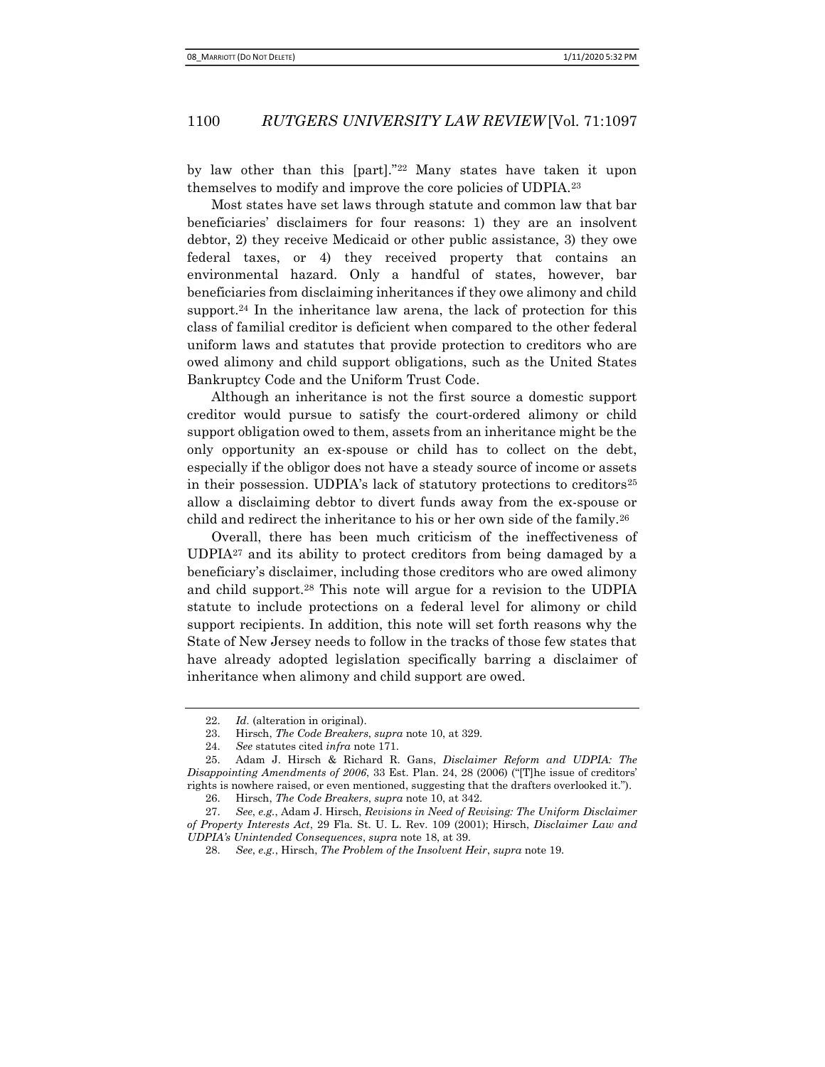by law other than this [part]."22 Many states have taken it upon themselves to modify and improve the core policies of UDPIA.<sup>23</sup>

Most states have set laws through statute and common law that bar beneficiaries' disclaimers for four reasons: 1) they are an insolvent debtor, 2) they receive Medicaid or other public assistance, 3) they owe federal taxes, or 4) they received property that contains an environmental hazard. Only a handful of states, however, bar beneficiaries from disclaiming inheritances if they owe alimony and child support.<sup>24</sup> In the inheritance law arena, the lack of protection for this class of familial creditor is deficient when compared to the other federal uniform laws and statutes that provide protection to creditors who are owed alimony and child support obligations, such as the United States Bankruptcy Code and the Uniform Trust Code.

Although an inheritance is not the first source a domestic support creditor would pursue to satisfy the court-ordered alimony or child support obligation owed to them, assets from an inheritance might be the only opportunity an ex-spouse or child has to collect on the debt, especially if the obligor does not have a steady source of income or assets in their possession. UDPIA's lack of statutory protections to creditors<sup>25</sup> allow a disclaiming debtor to divert funds away from the ex-spouse or child and redirect the inheritance to his or her own side of the family.<sup>26</sup>

Overall, there has been much criticism of the ineffectiveness of UDPIA27 and its ability to protect creditors from being damaged by a beneficiary's disclaimer, including those creditors who are owed alimony and child support.28 This note will argue for a revision to the UDPIA statute to include protections on a federal level for alimony or child support recipients. In addition, this note will set forth reasons why the State of New Jersey needs to follow in the tracks of those few states that have already adopted legislation specifically barring a disclaimer of inheritance when alimony and child support are owed.

<sup>22.</sup> Id. (alteration in original).

<sup>23.</sup> Hirsch, The Code Breakers, supra note 10, at 329.

<sup>24.</sup> See statutes cited infra note 171.

<sup>25.</sup> Adam J. Hirsch & Richard R. Gans, Disclaimer Reform and UDPIA: The Disappointing Amendments of 2006, 33 Est. Plan. 24, 28 (2006) ("[T]he issue of creditors' rights is nowhere raised, or even mentioned, suggesting that the drafters overlooked it.").

<sup>26.</sup> Hirsch, The Code Breakers, supra note 10, at 342.

<sup>27.</sup> See, e.g., Adam J. Hirsch, Revisions in Need of Revising: The Uniform Disclaimer of Property Interests Act, 29 Fla. St. U. L. Rev. 109 (2001); Hirsch, Disclaimer Law and UDPIA's Unintended Consequences, supra note 18, at 39.

<sup>28.</sup> See, e.g., Hirsch, The Problem of the Insolvent Heir, supra note 19.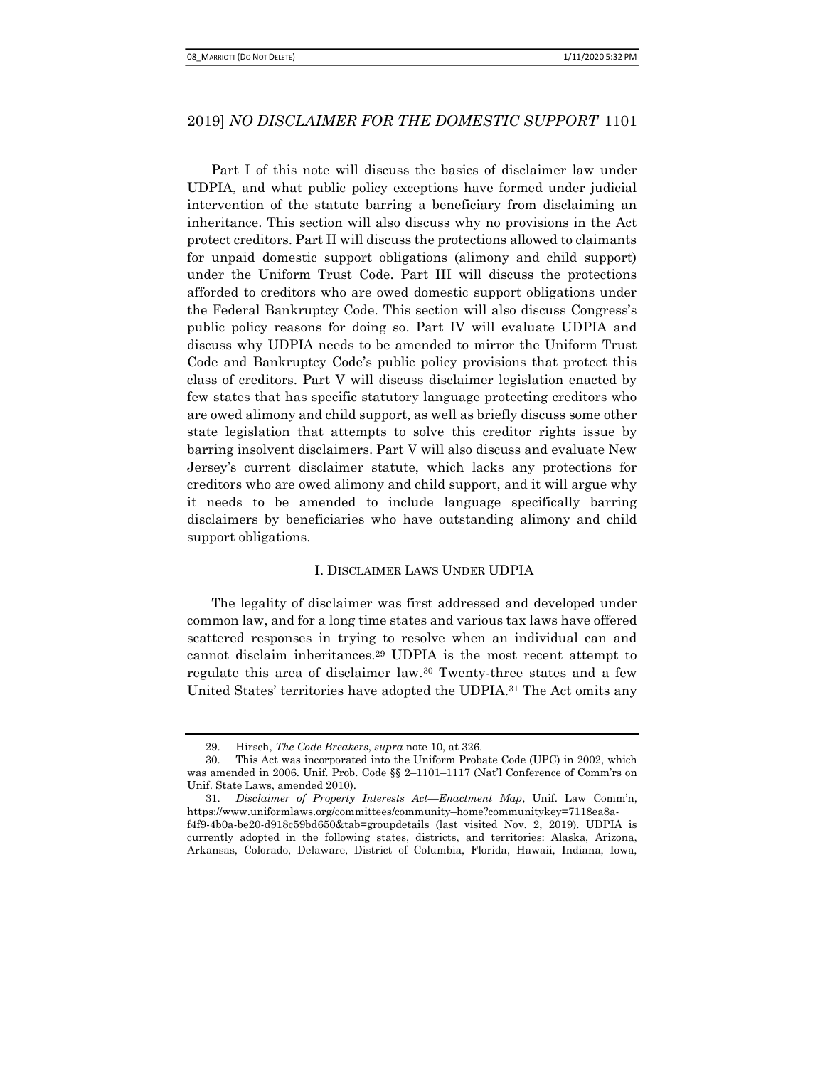Part I of this note will discuss the basics of disclaimer law under UDPIA, and what public policy exceptions have formed under judicial intervention of the statute barring a beneficiary from disclaiming an inheritance. This section will also discuss why no provisions in the Act protect creditors. Part II will discuss the protections allowed to claimants for unpaid domestic support obligations (alimony and child support) under the Uniform Trust Code. Part III will discuss the protections afforded to creditors who are owed domestic support obligations under the Federal Bankruptcy Code. This section will also discuss Congress's public policy reasons for doing so. Part IV will evaluate UDPIA and discuss why UDPIA needs to be amended to mirror the Uniform Trust Code and Bankruptcy Code's public policy provisions that protect this class of creditors. Part V will discuss disclaimer legislation enacted by few states that has specific statutory language protecting creditors who are owed alimony and child support, as well as briefly discuss some other state legislation that attempts to solve this creditor rights issue by barring insolvent disclaimers. Part V will also discuss and evaluate New Jersey's current disclaimer statute, which lacks any protections for creditors who are owed alimony and child support, and it will argue why it needs to be amended to include language specifically barring disclaimers by beneficiaries who have outstanding alimony and child support obligations.

#### I. DISCLAIMER LAWS UNDER UDPIA

The legality of disclaimer was first addressed and developed under common law, and for a long time states and various tax laws have offered scattered responses in trying to resolve when an individual can and cannot disclaim inheritances.29 UDPIA is the most recent attempt to regulate this area of disclaimer law.30 Twenty-three states and a few United States' territories have adopted the UDPIA.31 The Act omits any

<sup>29.</sup> Hirsch, The Code Breakers, supra note 10, at 326.

<sup>30.</sup> This Act was incorporated into the Uniform Probate Code (UPC) in 2002, which was amended in 2006. Unif. Prob. Code §§ 2–1101–1117 (Nat'l Conference of Comm'rs on Unif. State Laws, amended 2010).

<sup>31.</sup> Disclaimer of Property Interests Act—Enactment Map, Unif. Law Comm'n, https://www.uniformlaws.org/committees/community–home?communitykey=7118ea8af4f9-4b0a-be20-d918c59bd650&tab=groupdetails (last visited Nov. 2, 2019). UDPIA is currently adopted in the following states, districts, and territories: Alaska, Arizona, Arkansas, Colorado, Delaware, District of Columbia, Florida, Hawaii, Indiana, Iowa,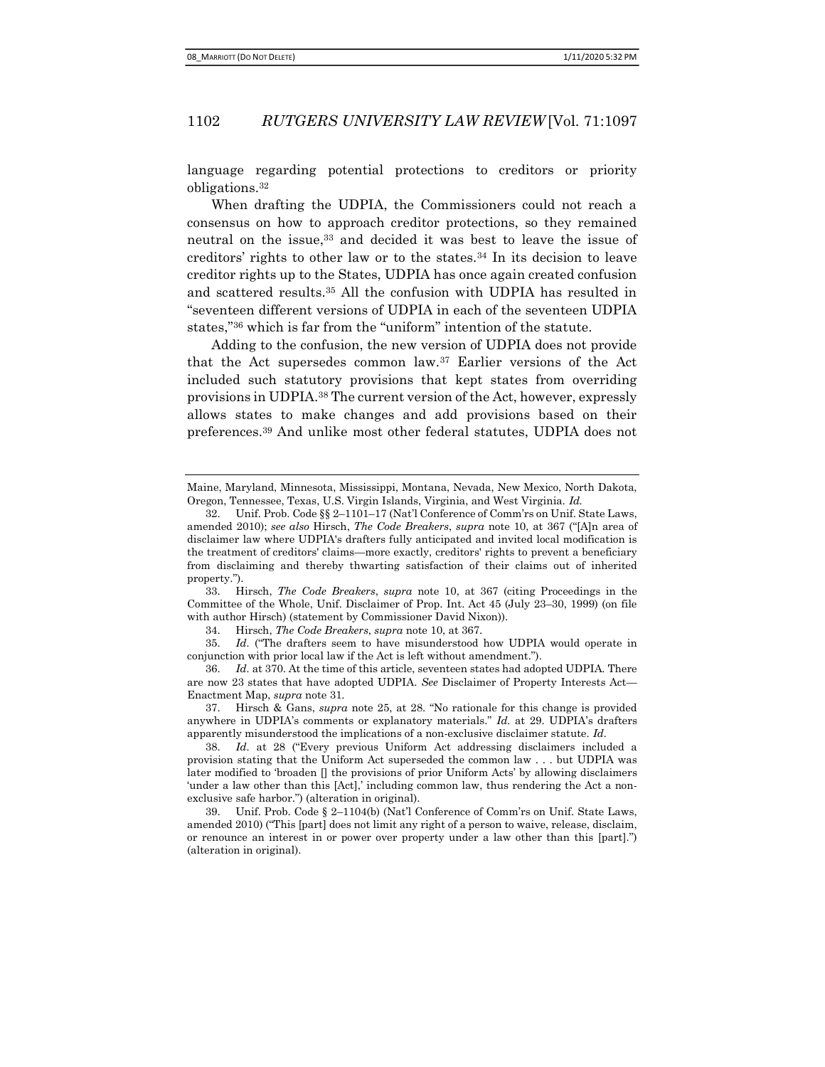language regarding potential protections to creditors or priority obligations.<sup>32</sup>

When drafting the UDPIA, the Commissioners could not reach a consensus on how to approach creditor protections, so they remained neutral on the issue,<sup>33</sup> and decided it was best to leave the issue of creditors' rights to other law or to the states.34 In its decision to leave creditor rights up to the States, UDPIA has once again created confusion and scattered results.35 All the confusion with UDPIA has resulted in "seventeen different versions of UDPIA in each of the seventeen UDPIA states,"36 which is far from the "uniform" intention of the statute.

Adding to the confusion, the new version of UDPIA does not provide that the Act supersedes common law.37 Earlier versions of the Act included such statutory provisions that kept states from overriding provisions in UDPIA.38 The current version of the Act, however, expressly allows states to make changes and add provisions based on their preferences.39 And unlike most other federal statutes, UDPIA does not

33. Hirsch, The Code Breakers, supra note 10, at 367 (citing Proceedings in the Committee of the Whole, Unif. Disclaimer of Prop. Int. Act 45 (July 23–30, 1999) (on file with author Hirsch) (statement by Commissioner David Nixon)).

34. Hirsch, The Code Breakers, supra note 10, at 367.

35. Id. ("The drafters seem to have misunderstood how UDPIA would operate in conjunction with prior local law if the Act is left without amendment.").

36. Id. at 370. At the time of this article, seventeen states had adopted UDPIA. There are now 23 states that have adopted UDPIA. See Disclaimer of Property Interests Act— Enactment Map, supra note 31.

37. Hirsch & Gans, supra note 25, at 28. "No rationale for this change is provided anywhere in UDPIA's comments or explanatory materials." Id. at 29. UDPIA's drafters apparently misunderstood the implications of a non-exclusive disclaimer statute. Id.

38. Id. at 28 ("Every previous Uniform Act addressing disclaimers included a provision stating that the Uniform Act superseded the common law . . . but UDPIA was later modified to 'broaden [] the provisions of prior Uniform Acts' by allowing disclaimers 'under a law other than this [Act],' including common law, thus rendering the Act a nonexclusive safe harbor.") (alteration in original).

39. Unif. Prob. Code § 2–1104(b) (Nat'l Conference of Comm'rs on Unif. State Laws, amended 2010) ("This [part] does not limit any right of a person to waive, release, disclaim, or renounce an interest in or power over property under a law other than this [part].") (alteration in original).

Maine, Maryland, Minnesota, Mississippi, Montana, Nevada, New Mexico, North Dakota, Oregon, Tennessee, Texas, U.S. Virgin Islands, Virginia, and West Virginia. Id.

<sup>32.</sup> Unif. Prob. Code §§ 2–1101–17 (Nat'l Conference of Comm'rs on Unif. State Laws, amended 2010); see also Hirsch, The Code Breakers, supra note 10, at 367 ("[A]n area of disclaimer law where UDPIA's drafters fully anticipated and invited local modification is the treatment of creditors' claims—more exactly, creditors' rights to prevent a beneficiary from disclaiming and thereby thwarting satisfaction of their claims out of inherited property.").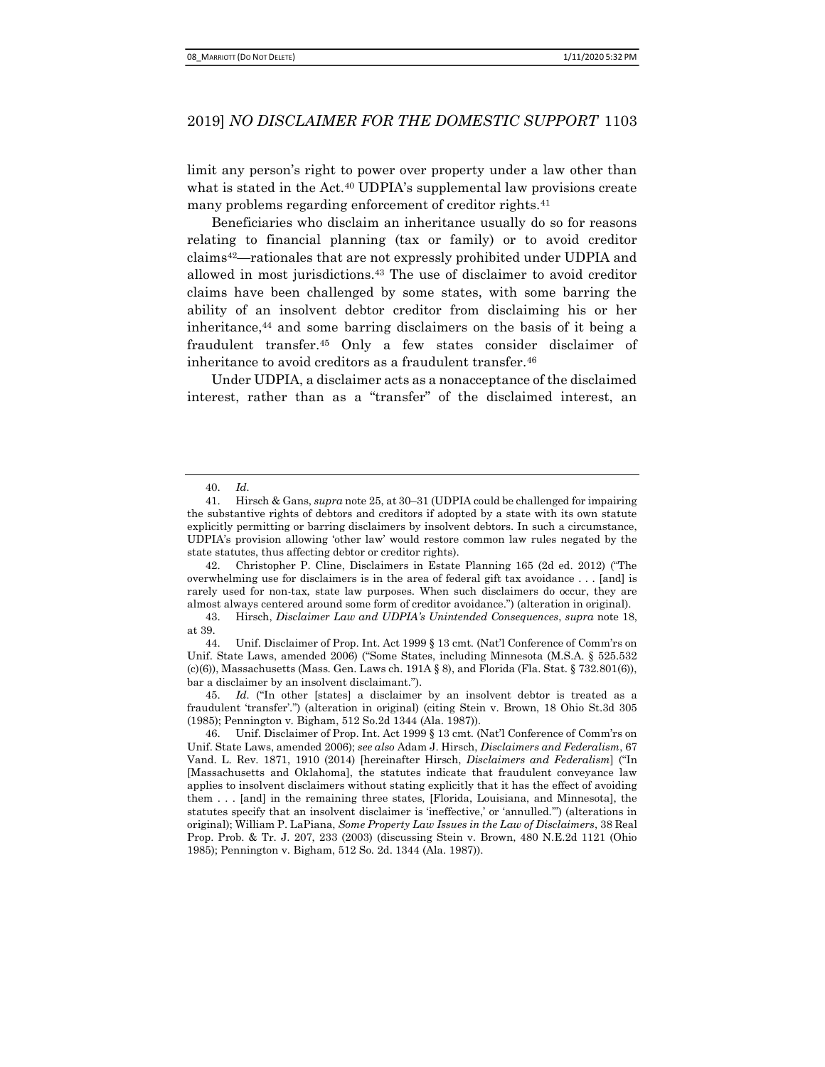limit any person's right to power over property under a law other than what is stated in the Act.<sup>40</sup> UDPIA's supplemental law provisions create many problems regarding enforcement of creditor rights.<sup>41</sup>

Beneficiaries who disclaim an inheritance usually do so for reasons relating to financial planning (tax or family) or to avoid creditor claims42—rationales that are not expressly prohibited under UDPIA and allowed in most jurisdictions.43 The use of disclaimer to avoid creditor claims have been challenged by some states, with some barring the ability of an insolvent debtor creditor from disclaiming his or her inheritance, $44$  and some barring disclaimers on the basis of it being a fraudulent transfer.45 Only a few states consider disclaimer of inheritance to avoid creditors as a fraudulent transfer.<sup>46</sup>

Under UDPIA, a disclaimer acts as a nonacceptance of the disclaimed interest, rather than as a "transfer" of the disclaimed interest, an

<sup>40.</sup> Id.

<sup>41.</sup> Hirsch & Gans, supra note 25, at 30–31 (UDPIA could be challenged for impairing the substantive rights of debtors and creditors if adopted by a state with its own statute explicitly permitting or barring disclaimers by insolvent debtors. In such a circumstance, UDPIA's provision allowing 'other law' would restore common law rules negated by the state statutes, thus affecting debtor or creditor rights).

<sup>42.</sup> Christopher P. Cline, Disclaimers in Estate Planning 165 (2d ed. 2012) ("The overwhelming use for disclaimers is in the area of federal gift tax avoidance . . . [and] is rarely used for non-tax, state law purposes. When such disclaimers do occur, they are almost always centered around some form of creditor avoidance.") (alteration in original).

<sup>43.</sup> Hirsch, Disclaimer Law and UDPIA's Unintended Consequences, supra note 18, at 39.

<sup>44.</sup> Unif. Disclaimer of Prop. Int. Act 1999 § 13 cmt. (Nat'l Conference of Comm'rs on Unif. State Laws, amended 2006) ("Some States, including Minnesota (M.S.A. § 525.532  $(c)(6)$ ), Massachusetts (Mass. Gen. Laws ch. 191A § 8), and Florida (Fla. Stat. § 732.801 $(6)$ ), bar a disclaimer by an insolvent disclaimant.").

<sup>45.</sup> Id. ("In other [states] a disclaimer by an insolvent debtor is treated as a fraudulent 'transfer'.") (alteration in original) (citing Stein v. Brown, 18 Ohio St.3d 305 (1985); Pennington v. Bigham, 512 So.2d 1344 (Ala. 1987)).

<sup>46.</sup> Unif. Disclaimer of Prop. Int. Act 1999 § 13 cmt. (Nat'l Conference of Comm'rs on Unif. State Laws, amended 2006); see also Adam J. Hirsch, Disclaimers and Federalism, 67 Vand. L. Rev. 1871, 1910 (2014) [hereinafter Hirsch, *Disclaimers and Federalism*] ("In [Massachusetts and Oklahoma], the statutes indicate that fraudulent conveyance law applies to insolvent disclaimers without stating explicitly that it has the effect of avoiding them . . . [and] in the remaining three states, [Florida, Louisiana, and Minnesota], the statutes specify that an insolvent disclaimer is 'ineffective,' or 'annulled.'") (alterations in original); William P. LaPiana, Some Property Law Issues in the Law of Disclaimers, 38 Real Prop. Prob. & Tr. J. 207, 233 (2003) (discussing Stein v. Brown, 480 N.E.2d 1121 (Ohio 1985); Pennington v. Bigham, 512 So. 2d. 1344 (Ala. 1987)).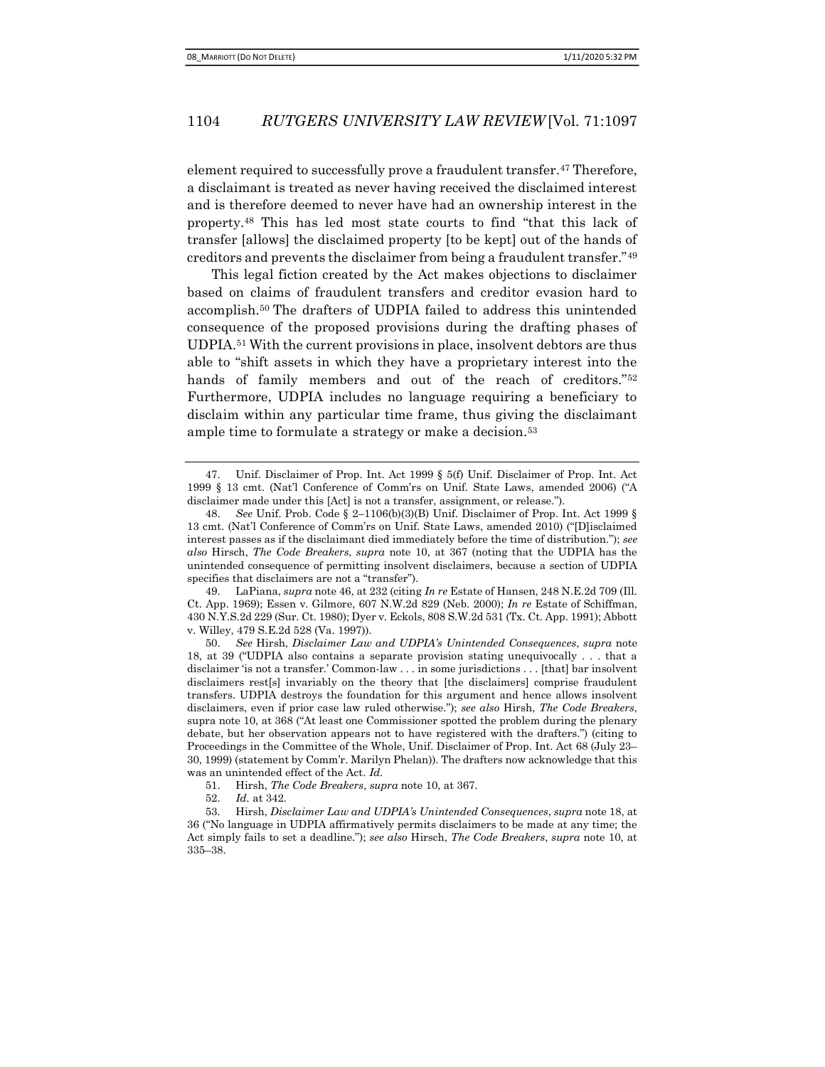element required to successfully prove a fraudulent transfer.<sup>47</sup> Therefore, a disclaimant is treated as never having received the disclaimed interest and is therefore deemed to never have had an ownership interest in the property.48 This has led most state courts to find "that this lack of transfer [allows] the disclaimed property [to be kept] out of the hands of creditors and prevents the disclaimer from being a fraudulent transfer."<sup>49</sup>

This legal fiction created by the Act makes objections to disclaimer based on claims of fraudulent transfers and creditor evasion hard to accomplish.50 The drafters of UDPIA failed to address this unintended consequence of the proposed provisions during the drafting phases of UDPIA.51 With the current provisions in place, insolvent debtors are thus able to "shift assets in which they have a proprietary interest into the hands of family members and out of the reach of creditors."<sup>52</sup> Furthermore, UDPIA includes no language requiring a beneficiary to disclaim within any particular time frame, thus giving the disclaimant ample time to formulate a strategy or make a decision.<sup>53</sup>

49. LaPiana, supra note 46, at 232 (citing  $In re$  Estate of Hansen, 248 N.E.2d 709 (Ill. Ct. App. 1969); Essen v. Gilmore,  $607$  N.W.2d  $829$  (Neb. 2000); In re Estate of Schiffman, 430 N.Y.S.2d 229 (Sur. Ct. 1980); Dyer v. Eckols, 808 S.W.2d 531 (Tx. Ct. App. 1991); Abbott v. Willey, 479 S.E.2d 528 (Va. 1997)).

50. See Hirsh, Disclaimer Law and UDPIA's Unintended Consequences, supra note 18, at 39 ("UDPIA also contains a separate provision stating unequivocally . . . that a disclaimer 'is not a transfer.' Common-law . . . in some jurisdictions . . . [that] bar insolvent disclaimers rest[s] invariably on the theory that [the disclaimers] comprise fraudulent transfers. UDPIA destroys the foundation for this argument and hence allows insolvent disclaimers, even if prior case law ruled otherwise."); see also Hirsh, The Code Breakers, supra note 10, at 368 ("At least one Commissioner spotted the problem during the plenary debate, but her observation appears not to have registered with the drafters.") (citing to Proceedings in the Committee of the Whole, Unif. Disclaimer of Prop. Int. Act 68 (July 23– 30, 1999) (statement by Comm'r. Marilyn Phelan)). The drafters now acknowledge that this was an unintended effect of the Act. Id.

51. Hirsh, The Code Breakers, supra note 10, at 367.

52. Id. at 342.

53. Hirsh, Disclaimer Law and UDPIA's Unintended Consequences, supra note 18, at 36 ("No language in UDPIA affirmatively permits disclaimers to be made at any time; the Act simply fails to set a deadline."); see also Hirsch, *The Code Breakers*, supra note 10, at 335–38.

<sup>47.</sup> Unif. Disclaimer of Prop. Int. Act 1999 § 5(f) Unif. Disclaimer of Prop. Int. Act 1999 § 13 cmt. (Nat'l Conference of Comm'rs on Unif. State Laws, amended 2006) ("A disclaimer made under this [Act] is not a transfer, assignment, or release.").

<sup>48.</sup> See Unif. Prob. Code § 2–1106(b)(3)(B) Unif. Disclaimer of Prop. Int. Act 1999 § 13 cmt. (Nat'l Conference of Comm'rs on Unif. State Laws, amended 2010) ("[D]isclaimed interest passes as if the disclaimant died immediately before the time of distribution."); see also Hirsch, The Code Breakers, supra note 10, at 367 (noting that the UDPIA has the unintended consequence of permitting insolvent disclaimers, because a section of UDPIA specifies that disclaimers are not a "transfer").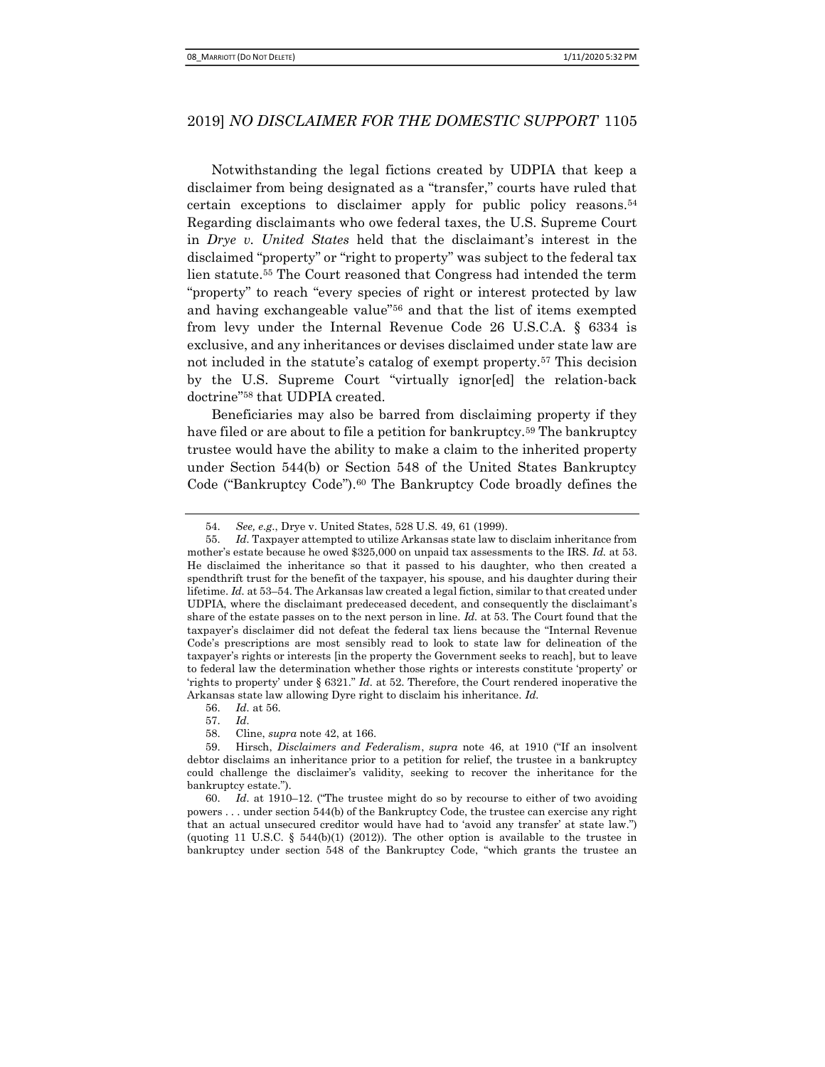Notwithstanding the legal fictions created by UDPIA that keep a disclaimer from being designated as a "transfer," courts have ruled that certain exceptions to disclaimer apply for public policy reasons.<sup>54</sup> Regarding disclaimants who owe federal taxes, the U.S. Supreme Court in Drye v. United States held that the disclaimant's interest in the disclaimed "property" or "right to property" was subject to the federal tax lien statute.55 The Court reasoned that Congress had intended the term "property" to reach "every species of right or interest protected by law and having exchangeable value"56 and that the list of items exempted from levy under the Internal Revenue Code 26 U.S.C.A. § 6334 is exclusive, and any inheritances or devises disclaimed under state law are not included in the statute's catalog of exempt property.57 This decision by the U.S. Supreme Court "virtually ignor[ed] the relation-back doctrine"58 that UDPIA created.

Beneficiaries may also be barred from disclaiming property if they have filed or are about to file a petition for bankruptcy.<sup>59</sup> The bankruptcy trustee would have the ability to make a claim to the inherited property under Section 544(b) or Section 548 of the United States Bankruptcy Code ("Bankruptcy Code").<sup>60</sup> The Bankruptcy Code broadly defines the

60. Id. at 1910–12. ("The trustee might do so by recourse to either of two avoiding powers . . . under section 544(b) of the Bankruptcy Code, the trustee can exercise any right that an actual unsecured creditor would have had to 'avoid any transfer' at state law.") (quoting 11 U.S.C. § 544(b)(1) (2012)). The other option is available to the trustee in bankruptcy under section 548 of the Bankruptcy Code, "which grants the trustee an

<sup>54.</sup> See, e.g., Drye v. United States, 528 U.S. 49, 61 (1999).

<sup>55.</sup> Id. Taxpayer attempted to utilize Arkansas state law to disclaim inheritance from mother's estate because he owed \$325,000 on unpaid tax assessments to the IRS. *Id.* at 53. He disclaimed the inheritance so that it passed to his daughter, who then created a spendthrift trust for the benefit of the taxpayer, his spouse, and his daughter during their lifetime. Id. at 53–54. The Arkansas law created a legal fiction, similar to that created under UDPIA, where the disclaimant predeceased decedent, and consequently the disclaimant's share of the estate passes on to the next person in line. Id. at 53. The Court found that the taxpayer's disclaimer did not defeat the federal tax liens because the "Internal Revenue Code's prescriptions are most sensibly read to look to state law for delineation of the taxpayer's rights or interests [in the property the Government seeks to reach], but to leave to federal law the determination whether those rights or interests constitute 'property' or 'rights to property' under § 6321." Id. at 52. Therefore, the Court rendered inoperative the Arkansas state law allowing Dyre right to disclaim his inheritance. Id.

<sup>56.</sup> Id. at 56.

<sup>57.</sup> Id.

<sup>58.</sup> Cline, supra note 42, at 166.

<sup>59.</sup> Hirsch, Disclaimers and Federalism, supra note 46, at 1910 ("If an insolvent debtor disclaims an inheritance prior to a petition for relief, the trustee in a bankruptcy could challenge the disclaimer's validity, seeking to recover the inheritance for the bankruptcy estate.").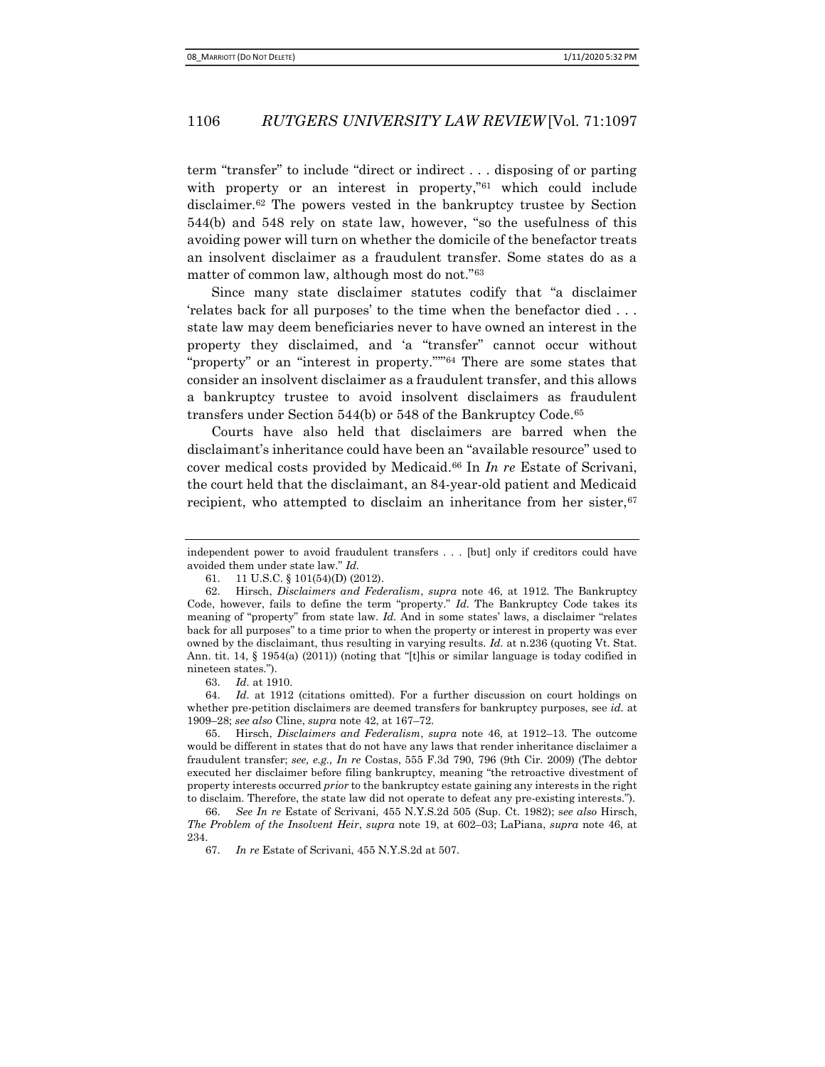term "transfer" to include "direct or indirect . . . disposing of or parting with property or an interest in property,"<sup>61</sup> which could include disclaimer.62 The powers vested in the bankruptcy trustee by Section 544(b) and 548 rely on state law, however, "so the usefulness of this avoiding power will turn on whether the domicile of the benefactor treats an insolvent disclaimer as a fraudulent transfer. Some states do as a matter of common law, although most do not."<sup>63</sup>

Since many state disclaimer statutes codify that "a disclaimer 'relates back for all purposes' to the time when the benefactor died . . . state law may deem beneficiaries never to have owned an interest in the property they disclaimed, and 'a "transfer" cannot occur without "property" or an "interest in property."'"64 There are some states that consider an insolvent disclaimer as a fraudulent transfer, and this allows a bankruptcy trustee to avoid insolvent disclaimers as fraudulent transfers under Section 544(b) or 548 of the Bankruptcy Code.<sup>65</sup>

Courts have also held that disclaimers are barred when the disclaimant's inheritance could have been an "available resource" used to cover medical costs provided by Medicaid.<sup>66</sup> In  $In$   $re$  Estate of Scrivani, the court held that the disclaimant, an 84-year-old patient and Medicaid recipient, who attempted to disclaim an inheritance from her sister, 67

63. Id. at 1910.

64. Id. at 1912 (citations omitted). For a further discussion on court holdings on whether pre-petition disclaimers are deemed transfers for bankruptcy purposes, see *id.* at 1909–28; see also Cline, supra note 42, at 167–72.

65. Hirsch, Disclaimers and Federalism, supra note 46, at 1912–13. The outcome would be different in states that do not have any laws that render inheritance disclaimer a fraudulent transfer; see, e.g., In re Costas, 555 F.3d 790, 796 (9th Cir. 2009) (The debtor executed her disclaimer before filing bankruptcy, meaning "the retroactive divestment of property interests occurred prior to the bankruptcy estate gaining any interests in the right to disclaim. Therefore, the state law did not operate to defeat any pre-existing interests.").

independent power to avoid fraudulent transfers . . . [but] only if creditors could have avoided them under state law." Id.

<sup>61. 11</sup> U.S.C. § 101(54)(D) (2012).

<sup>62.</sup> Hirsch, Disclaimers and Federalism, supra note 46, at 1912. The Bankruptcy Code, however, fails to define the term "property."  $Id$ . The Bankruptcy Code takes its meaning of "property" from state law. Id. And in some states' laws, a disclaimer "relates" back for all purposes" to a time prior to when the property or interest in property was ever owned by the disclaimant, thus resulting in varying results. Id. at n.236 (quoting Vt. Stat. Ann. tit. 14, § 1954(a) (2011)) (noting that "[t]his or similar language is today codified in nineteen states.").

<sup>66.</sup> See In re Estate of Scrivani, 455 N.Y.S.2d 505 (Sup. Ct. 1982); see also Hirsch, The Problem of the Insolvent Heir, supra note 19, at 602–03; LaPiana, supra note 46, at 234.

<sup>67.</sup> In re Estate of Scrivani, 455 N.Y.S.2d at 507.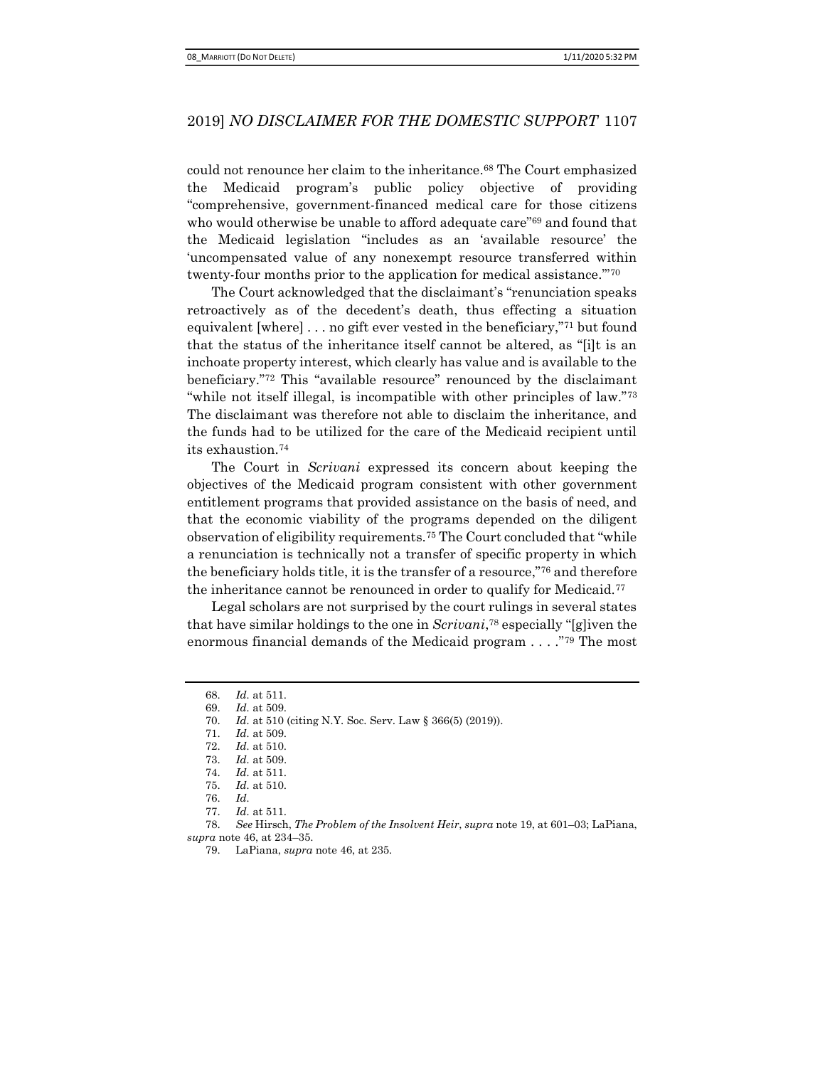could not renounce her claim to the inheritance.68 The Court emphasized the Medicaid program's public policy objective of providing "comprehensive, government-financed medical care for those citizens who would otherwise be unable to afford adequate care"69 and found that the Medicaid legislation "includes as an 'available resource' the 'uncompensated value of any nonexempt resource transferred within twenty-four months prior to the application for medical assistance.'"<sup>70</sup>

The Court acknowledged that the disclaimant's "renunciation speaks retroactively as of the decedent's death, thus effecting a situation equivalent [where] . . . no gift ever vested in the beneficiary,"<sup>71</sup> but found that the status of the inheritance itself cannot be altered, as "[i]t is an inchoate property interest, which clearly has value and is available to the beneficiary."72 This "available resource" renounced by the disclaimant "while not itself illegal, is incompatible with other principles of law."73 The disclaimant was therefore not able to disclaim the inheritance, and the funds had to be utilized for the care of the Medicaid recipient until its exhaustion.<sup>74</sup>

The Court in Scrivani expressed its concern about keeping the objectives of the Medicaid program consistent with other government entitlement programs that provided assistance on the basis of need, and that the economic viability of the programs depended on the diligent observation of eligibility requirements.75 The Court concluded that "while a renunciation is technically not a transfer of specific property in which the beneficiary holds title, it is the transfer of a resource,"76 and therefore the inheritance cannot be renounced in order to qualify for Medicaid.<sup>77</sup>

Legal scholars are not surprised by the court rulings in several states that have similar holdings to the one in Scrivani,<sup>78</sup> especially "[g]iven the enormous financial demands of the Medicaid program . . . ."79 The most

<sup>68.</sup> Id. at 511.

<sup>69.</sup> Id. at 509.

<sup>70.</sup> Id. at 510 (citing N.Y. Soc. Serv. Law § 366(5) (2019)).

<sup>71.</sup>  $Id.$  at 509.

<sup>72.</sup> Id. at 510.

<sup>73.</sup> Id. at 509.

<sup>74.</sup> Id. at 511.

<sup>75.</sup> Id. at 510.

<sup>76.</sup> Id.

<sup>77.</sup> Id. at 511.

<sup>78.</sup> See Hirsch, The Problem of the Insolvent Heir, supra note 19, at 601–03; LaPiana, supra note 46, at 234–35.

<sup>79.</sup> LaPiana, supra note 46, at 235.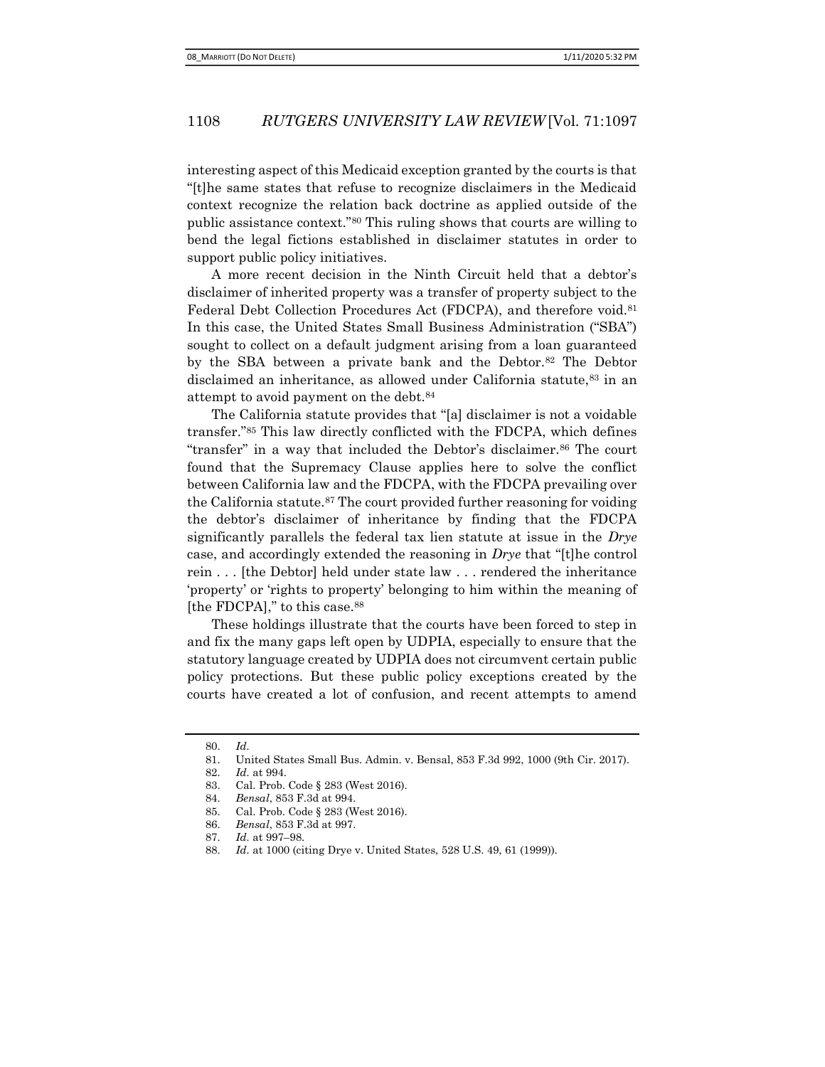interesting aspect of this Medicaid exception granted by the courts is that "[t]he same states that refuse to recognize disclaimers in the Medicaid context recognize the relation back doctrine as applied outside of the public assistance context."80 This ruling shows that courts are willing to bend the legal fictions established in disclaimer statutes in order to support public policy initiatives.

A more recent decision in the Ninth Circuit held that a debtor's disclaimer of inherited property was a transfer of property subject to the Federal Debt Collection Procedures Act (FDCPA), and therefore void.<sup>81</sup> In this case, the United States Small Business Administration ("SBA") sought to collect on a default judgment arising from a loan guaranteed by the SBA between a private bank and the Debtor.<sup>82</sup> The Debtor disclaimed an inheritance, as allowed under California statute, <sup>83</sup> in an attempt to avoid payment on the debt.<sup>84</sup>

The California statute provides that "[a] disclaimer is not a voidable transfer."85 This law directly conflicted with the FDCPA, which defines "transfer" in a way that included the Debtor's disclaimer.86 The court found that the Supremacy Clause applies here to solve the conflict between California law and the FDCPA, with the FDCPA prevailing over the California statute.<sup>87</sup> The court provided further reasoning for voiding the debtor's disclaimer of inheritance by finding that the FDCPA significantly parallels the federal tax lien statute at issue in the Drye case, and accordingly extended the reasoning in Drye that "[t]he control rein . . . [the Debtor] held under state law . . . rendered the inheritance 'property' or 'rights to property' belonging to him within the meaning of [the FDCPA]," to this case.<sup>88</sup>

These holdings illustrate that the courts have been forced to step in and fix the many gaps left open by UDPIA, especially to ensure that the statutory language created by UDPIA does not circumvent certain public policy protections. But these public policy exceptions created by the courts have created a lot of confusion, and recent attempts to amend

<sup>80.</sup> Id.

<sup>81.</sup> United States Small Bus. Admin. v. Bensal, 853 F.3d 992, 1000 (9th Cir. 2017).

<sup>82.</sup> Id. at 994.

<sup>83.</sup> Cal. Prob. Code § 283 (West 2016).

<sup>84.</sup> Bensal, 853 F.3d at 994.

<sup>85.</sup> Cal. Prob. Code § 283 (West 2016).

<sup>86.</sup> Bensal, 853 F.3d at 997.

<sup>87.</sup> Id. at 997–98.

<sup>88.</sup> Id. at 1000 (citing Drye v. United States, 528 U.S. 49, 61 (1999)).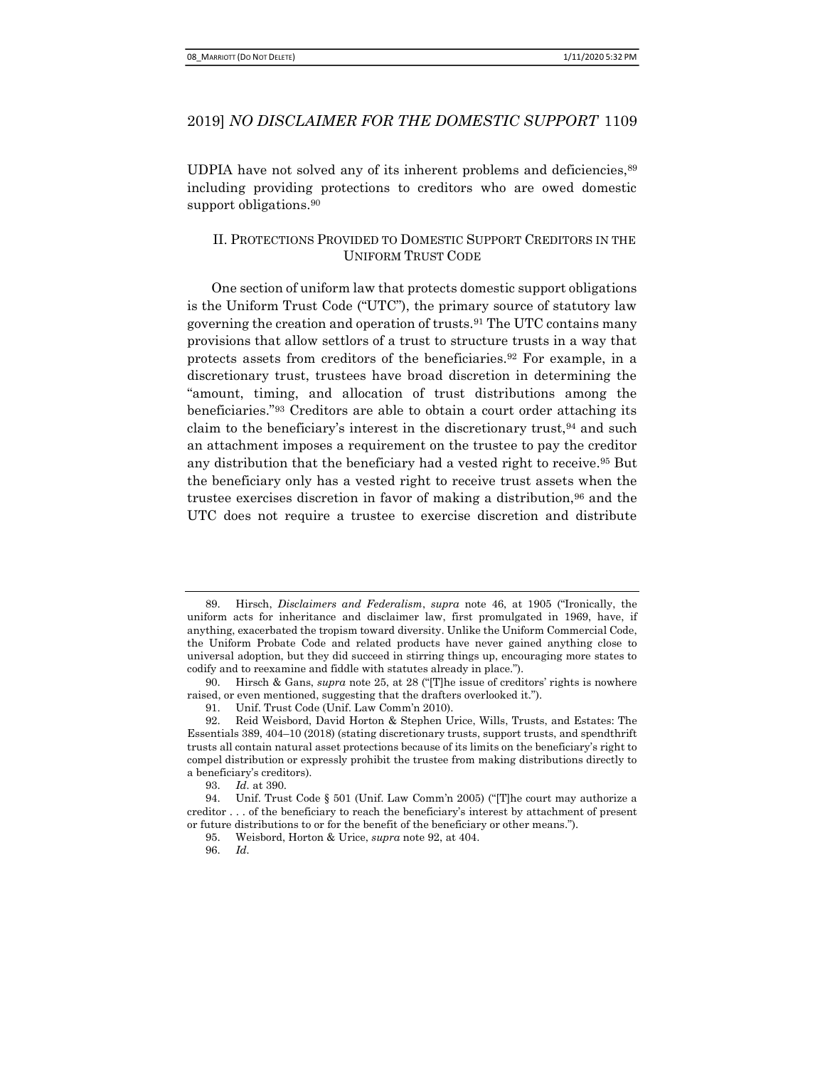UDPIA have not solved any of its inherent problems and deficiencies,  $89$ including providing protections to creditors who are owed domestic support obligations.<sup>90</sup>

## II. PROTECTIONS PROVIDED TO DOMESTIC SUPPORT CREDITORS IN THE UNIFORM TRUST CODE

One section of uniform law that protects domestic support obligations is the Uniform Trust Code ("UTC"), the primary source of statutory law governing the creation and operation of trusts.91 The UTC contains many provisions that allow settlors of a trust to structure trusts in a way that protects assets from creditors of the beneficiaries.92 For example, in a discretionary trust, trustees have broad discretion in determining the "amount, timing, and allocation of trust distributions among the beneficiaries."93 Creditors are able to obtain a court order attaching its claim to the beneficiary's interest in the discretionary trust,<sup>94</sup> and such an attachment imposes a requirement on the trustee to pay the creditor any distribution that the beneficiary had a vested right to receive.95 But the beneficiary only has a vested right to receive trust assets when the trustee exercises discretion in favor of making a distribution,<sup>96</sup> and the UTC does not require a trustee to exercise discretion and distribute

<sup>89.</sup> Hirsch, Disclaimers and Federalism, supra note 46, at 1905 ("Ironically, the uniform acts for inheritance and disclaimer law, first promulgated in 1969, have, if anything, exacerbated the tropism toward diversity. Unlike the Uniform Commercial Code, the Uniform Probate Code and related products have never gained anything close to universal adoption, but they did succeed in stirring things up, encouraging more states to codify and to reexamine and fiddle with statutes already in place.").

<sup>90.</sup> Hirsch & Gans, supra note 25, at 28 ("[T]he issue of creditors' rights is nowhere raised, or even mentioned, suggesting that the drafters overlooked it.").

<sup>91.</sup> Unif. Trust Code (Unif. Law Comm'n 2010).

<sup>92.</sup> Reid Weisbord, David Horton & Stephen Urice, Wills, Trusts, and Estates: The Essentials 389, 404–10 (2018) (stating discretionary trusts, support trusts, and spendthrift trusts all contain natural asset protections because of its limits on the beneficiary's right to compel distribution or expressly prohibit the trustee from making distributions directly to a beneficiary's creditors).

<sup>93.</sup> Id. at 390.

<sup>94.</sup> Unif. Trust Code § 501 (Unif. Law Comm'n 2005) ("[T]he court may authorize a creditor . . . of the beneficiary to reach the beneficiary's interest by attachment of present or future distributions to or for the benefit of the beneficiary or other means.").

<sup>95.</sup> Weisbord, Horton & Urice, supra note 92, at 404.

<sup>96.</sup> Id.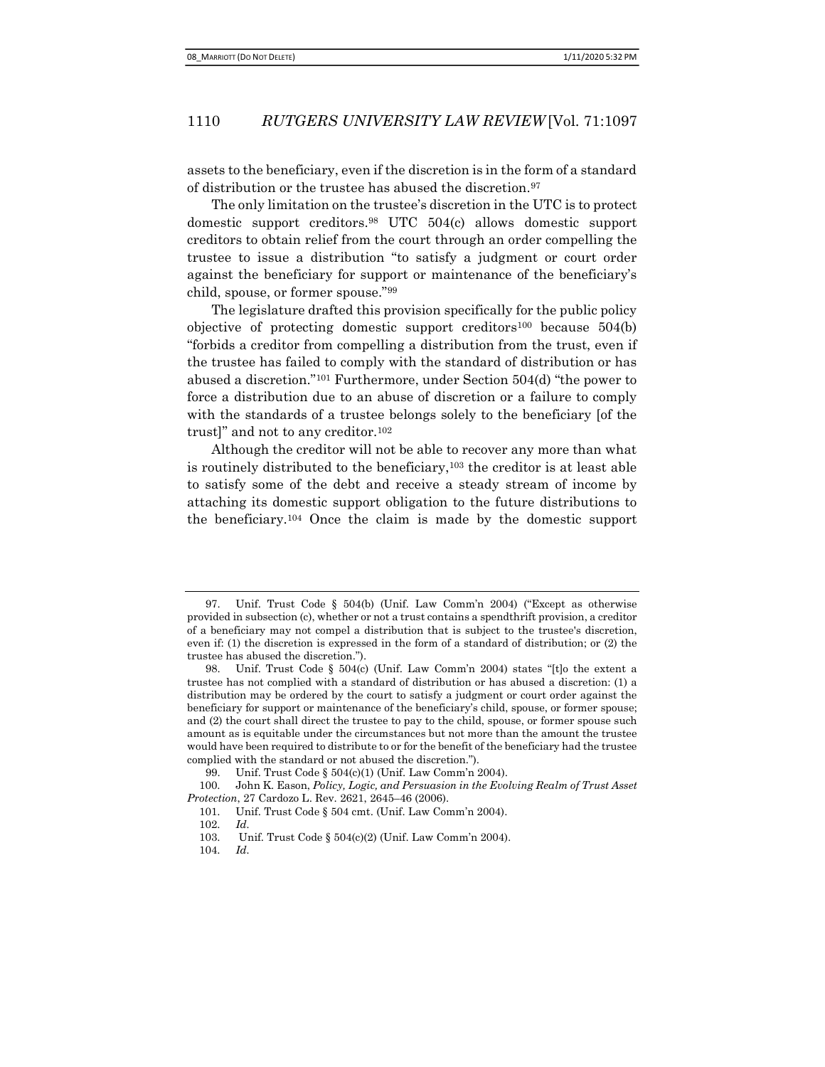assets to the beneficiary, even if the discretion is in the form of a standard of distribution or the trustee has abused the discretion.<sup>97</sup>

The only limitation on the trustee's discretion in the UTC is to protect domestic support creditors.98 UTC 504(c) allows domestic support creditors to obtain relief from the court through an order compelling the trustee to issue a distribution "to satisfy a judgment or court order against the beneficiary for support or maintenance of the beneficiary's child, spouse, or former spouse."<sup>99</sup>

The legislature drafted this provision specifically for the public policy objective of protecting domestic support creditors<sup>100</sup> because  $504(b)$ "forbids a creditor from compelling a distribution from the trust, even if the trustee has failed to comply with the standard of distribution or has abused a discretion."101 Furthermore, under Section 504(d) "the power to force a distribution due to an abuse of discretion or a failure to comply with the standards of a trustee belongs solely to the beneficiary [of the trust]" and not to any creditor.<sup>102</sup>

Although the creditor will not be able to recover any more than what is routinely distributed to the beneficiary,103 the creditor is at least able to satisfy some of the debt and receive a steady stream of income by attaching its domestic support obligation to the future distributions to the beneficiary.104 Once the claim is made by the domestic support

<sup>97.</sup> Unif. Trust Code § 504(b) (Unif. Law Comm'n 2004) ("Except as otherwise provided in subsection (c), whether or not a trust contains a spendthrift provision, a creditor of a beneficiary may not compel a distribution that is subject to the trustee's discretion, even if: (1) the discretion is expressed in the form of a standard of distribution; or (2) the trustee has abused the discretion.").

<sup>98.</sup> Unif. Trust Code § 504(c) (Unif. Law Comm'n 2004) states "[t]o the extent a trustee has not complied with a standard of distribution or has abused a discretion: (1) a distribution may be ordered by the court to satisfy a judgment or court order against the beneficiary for support or maintenance of the beneficiary's child, spouse, or former spouse; and (2) the court shall direct the trustee to pay to the child, spouse, or former spouse such amount as is equitable under the circumstances but not more than the amount the trustee would have been required to distribute to or for the benefit of the beneficiary had the trustee complied with the standard or not abused the discretion.").

<sup>99.</sup> Unif. Trust Code § 504(c)(1) (Unif. Law Comm'n 2004).

<sup>100.</sup> John K. Eason, Policy, Logic, and Persuasion in the Evolving Realm of Trust Asset Protection, 27 Cardozo L. Rev. 2621, 2645–46 (2006).

<sup>101.</sup> Unif. Trust Code § 504 cmt. (Unif. Law Comm'n 2004).

<sup>102.</sup> Id.

<sup>103.</sup> Unif. Trust Code § 504(c)(2) (Unif. Law Comm'n 2004).

<sup>104.</sup> Id.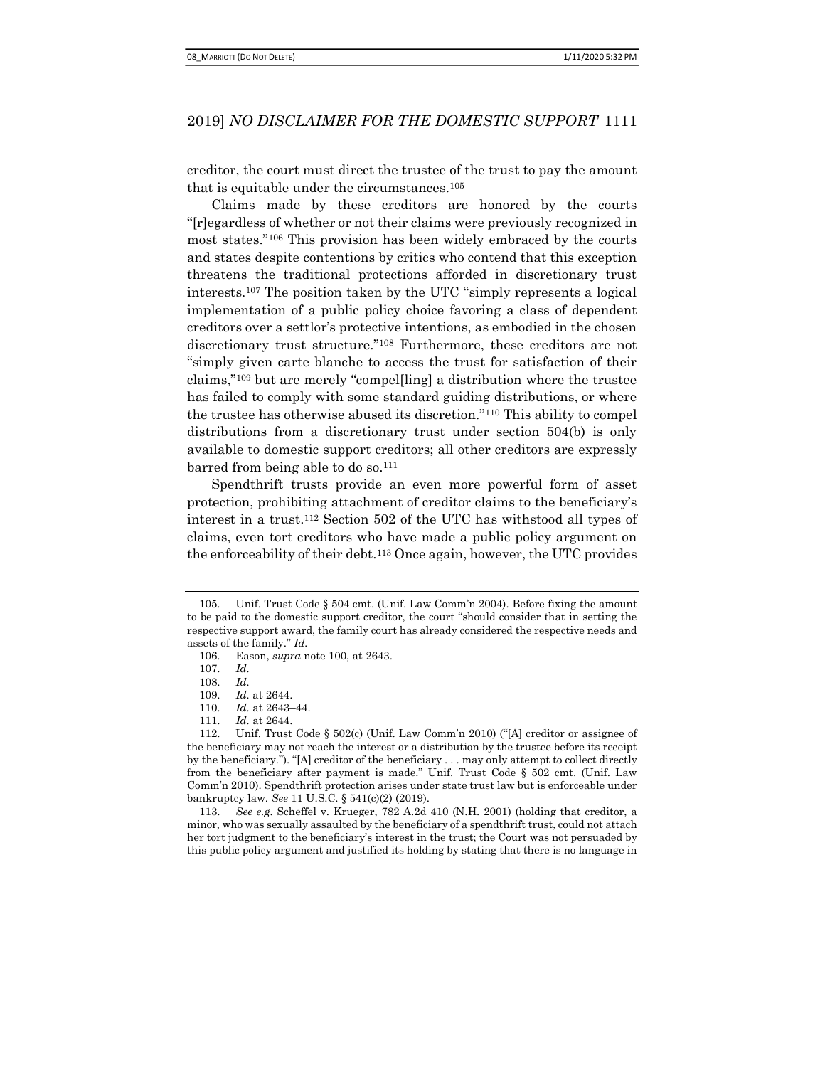creditor, the court must direct the trustee of the trust to pay the amount that is equitable under the circumstances.<sup>105</sup>

Claims made by these creditors are honored by the courts "[r]egardless of whether or not their claims were previously recognized in most states."106 This provision has been widely embraced by the courts and states despite contentions by critics who contend that this exception threatens the traditional protections afforded in discretionary trust interests.107 The position taken by the UTC "simply represents a logical implementation of a public policy choice favoring a class of dependent creditors over a settlor's protective intentions, as embodied in the chosen discretionary trust structure."108 Furthermore, these creditors are not "simply given carte blanche to access the trust for satisfaction of their claims,"109 but are merely "compel[ling] a distribution where the trustee has failed to comply with some standard guiding distributions, or where the trustee has otherwise abused its discretion."110 This ability to compel distributions from a discretionary trust under section 504(b) is only available to domestic support creditors; all other creditors are expressly barred from being able to do so.<sup>111</sup>

Spendthrift trusts provide an even more powerful form of asset protection, prohibiting attachment of creditor claims to the beneficiary's interest in a trust.112 Section 502 of the UTC has withstood all types of claims, even tort creditors who have made a public policy argument on the enforceability of their debt.113 Once again, however, the UTC provides

<sup>105.</sup> Unif. Trust Code § 504 cmt. (Unif. Law Comm'n 2004). Before fixing the amount to be paid to the domestic support creditor, the court "should consider that in setting the respective support award, the family court has already considered the respective needs and assets of the family." Id.

<sup>106.</sup> Eason, supra note 100, at 2643.

<sup>107.</sup> Id.

<sup>108.</sup> Id.

<sup>109.</sup> Id. at 2644.

<sup>110.</sup> Id. at 2643–44.

<sup>111.</sup> Id. at 2644.

<sup>112.</sup> Unif. Trust Code § 502(c) (Unif. Law Comm'n 2010) ("[A] creditor or assignee of the beneficiary may not reach the interest or a distribution by the trustee before its receipt by the beneficiary."). "[A] creditor of the beneficiary . . . may only attempt to collect directly from the beneficiary after payment is made." Unif. Trust Code § 502 cmt. (Unif. Law Comm'n 2010). Spendthrift protection arises under state trust law but is enforceable under bankruptcy law. See 11 U.S.C. § 541(c)(2) (2019).

<sup>113.</sup> See e.g. Scheffel v. Krueger, 782 A.2d 410 (N.H. 2001) (holding that creditor, a minor, who was sexually assaulted by the beneficiary of a spendthrift trust, could not attach her tort judgment to the beneficiary's interest in the trust; the Court was not persuaded by this public policy argument and justified its holding by stating that there is no language in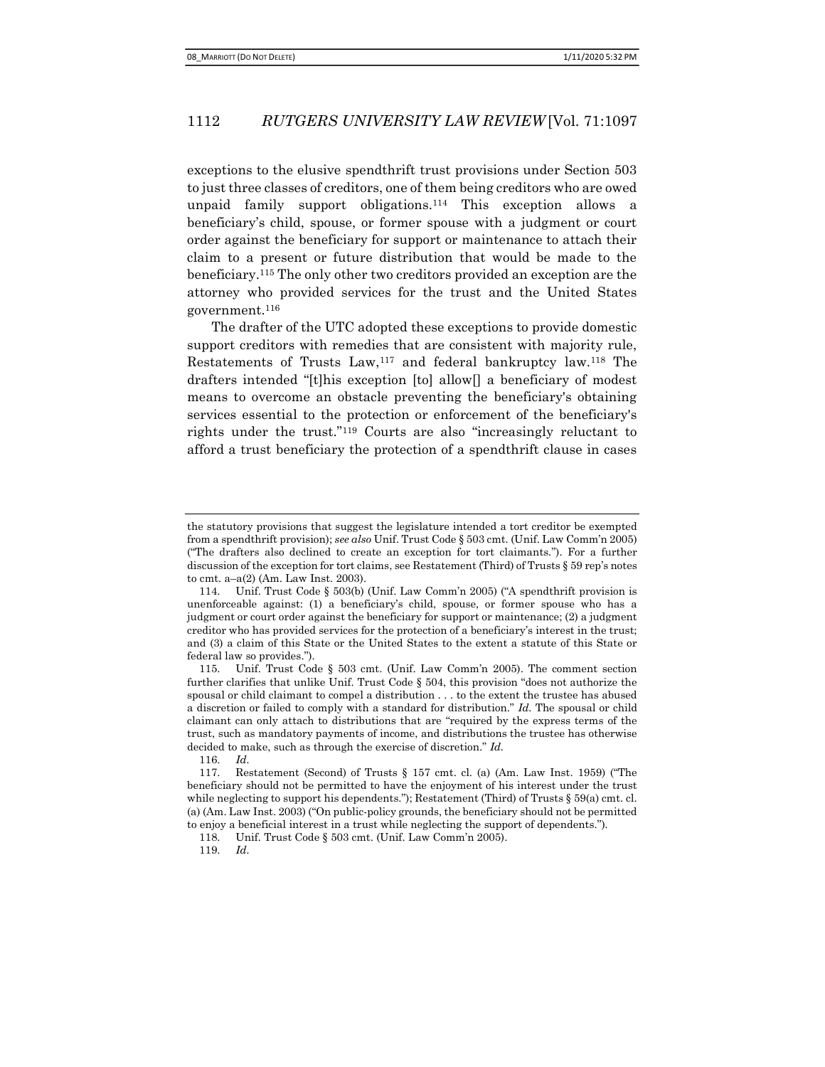exceptions to the elusive spendthrift trust provisions under Section 503 to just three classes of creditors, one of them being creditors who are owed unpaid family support obligations.114 This exception allows a beneficiary's child, spouse, or former spouse with a judgment or court order against the beneficiary for support or maintenance to attach their claim to a present or future distribution that would be made to the beneficiary.115 The only other two creditors provided an exception are the attorney who provided services for the trust and the United States government.<sup>116</sup>

The drafter of the UTC adopted these exceptions to provide domestic support creditors with remedies that are consistent with majority rule, Restatements of Trusts Law,117 and federal bankruptcy law.118 The drafters intended "[t]his exception [to] allow[] a beneficiary of modest means to overcome an obstacle preventing the beneficiary's obtaining services essential to the protection or enforcement of the beneficiary's rights under the trust."119 Courts are also "increasingly reluctant to afford a trust beneficiary the protection of a spendthrift clause in cases

119. Id.

the statutory provisions that suggest the legislature intended a tort creditor be exempted from a spendthrift provision); see also Unif. Trust Code § 503 cmt. (Unif. Law Comm'n 2005) ("The drafters also declined to create an exception for tort claimants."). For a further discussion of the exception for tort claims, see Restatement (Third) of Trusts § 59 rep's notes to cmt. a–a(2) (Am. Law Inst. 2003).

<sup>114.</sup> Unif. Trust Code § 503(b) (Unif. Law Comm'n 2005) ("A spendthrift provision is unenforceable against: (1) a beneficiary's child, spouse, or former spouse who has a judgment or court order against the beneficiary for support or maintenance; (2) a judgment creditor who has provided services for the protection of a beneficiary's interest in the trust; and (3) a claim of this State or the United States to the extent a statute of this State or federal law so provides.").

<sup>115.</sup> Unif. Trust Code § 503 cmt. (Unif. Law Comm'n 2005). The comment section further clarifies that unlike Unif. Trust Code § 504, this provision "does not authorize the spousal or child claimant to compel a distribution . . . to the extent the trustee has abused a discretion or failed to comply with a standard for distribution." Id. The spousal or child claimant can only attach to distributions that are "required by the express terms of the trust, such as mandatory payments of income, and distributions the trustee has otherwise decided to make, such as through the exercise of discretion." Id.

<sup>116.</sup> Id.

<sup>117.</sup> Restatement (Second) of Trusts § 157 cmt. cl. (a) (Am. Law Inst. 1959) ("The beneficiary should not be permitted to have the enjoyment of his interest under the trust while neglecting to support his dependents."); Restatement (Third) of Trusts § 59(a) cmt. cl. (a) (Am. Law Inst. 2003) ("On public-policy grounds, the beneficiary should not be permitted to enjoy a beneficial interest in a trust while neglecting the support of dependents.").

<sup>118.</sup> Unif. Trust Code § 503 cmt. (Unif. Law Comm'n 2005).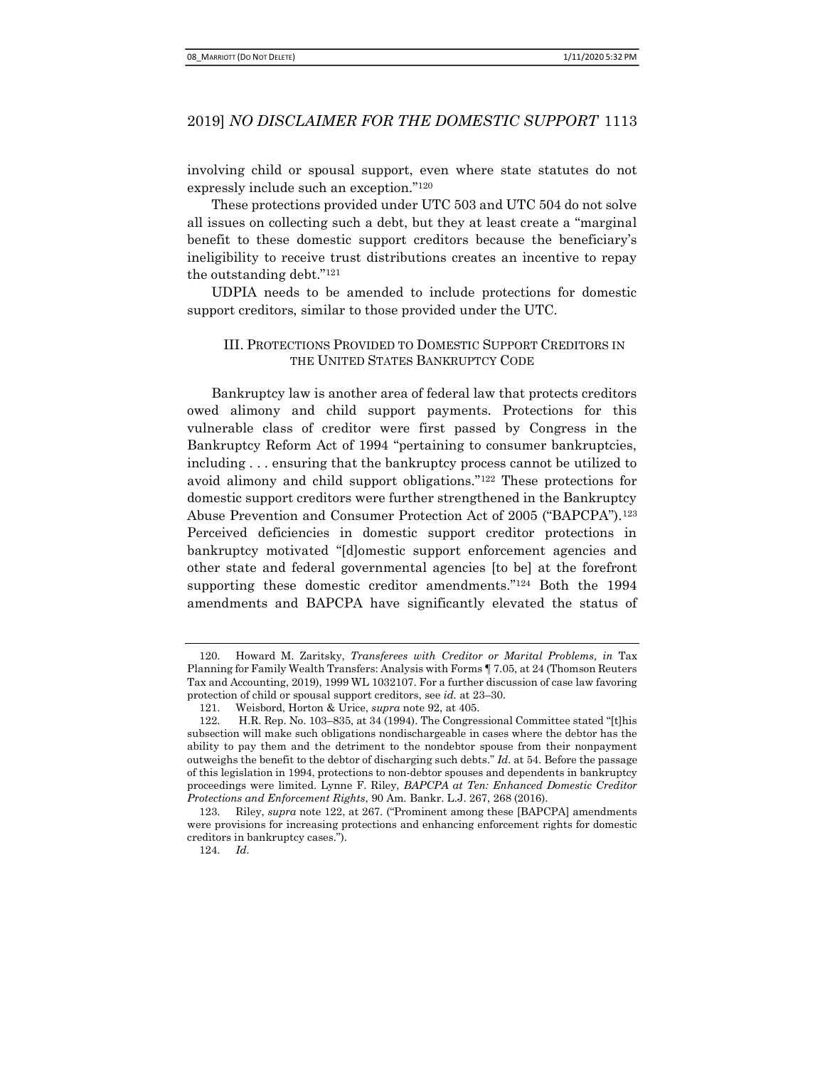involving child or spousal support, even where state statutes do not expressly include such an exception."<sup>120</sup>

These protections provided under UTC 503 and UTC 504 do not solve all issues on collecting such a debt, but they at least create a "marginal benefit to these domestic support creditors because the beneficiary's ineligibility to receive trust distributions creates an incentive to repay the outstanding debt."<sup>121</sup>

UDPIA needs to be amended to include protections for domestic support creditors, similar to those provided under the UTC.

#### III. PROTECTIONS PROVIDED TO DOMESTIC SUPPORT CREDITORS IN THE UNITED STATES BANKRUPTCY CODE

Bankruptcy law is another area of federal law that protects creditors owed alimony and child support payments. Protections for this vulnerable class of creditor were first passed by Congress in the Bankruptcy Reform Act of 1994 "pertaining to consumer bankruptcies, including . . . ensuring that the bankruptcy process cannot be utilized to avoid alimony and child support obligations."122 These protections for domestic support creditors were further strengthened in the Bankruptcy Abuse Prevention and Consumer Protection Act of 2005 ("BAPCPA").<sup>123</sup> Perceived deficiencies in domestic support creditor protections in bankruptcy motivated "[d]omestic support enforcement agencies and other state and federal governmental agencies [to be] at the forefront supporting these domestic creditor amendments."<sup>124</sup> Both the 1994 amendments and BAPCPA have significantly elevated the status of

<sup>120.</sup> Howard M. Zaritsky, Transferees with Creditor or Marital Problems, in Tax Planning for Family Wealth Transfers: Analysis with Forms ¶ 7.05, at 24 (Thomson Reuters Tax and Accounting, 2019), 1999 WL 1032107. For a further discussion of case law favoring protection of child or spousal support creditors, see id. at 23–30.

<sup>121.</sup> Weisbord, Horton & Urice, supra note 92, at 405.

<sup>122.</sup> H.R. Rep. No. 103–835, at 34 (1994). The Congressional Committee stated "[t]his subsection will make such obligations nondischargeable in cases where the debtor has the ability to pay them and the detriment to the nondebtor spouse from their nonpayment outweighs the benefit to the debtor of discharging such debts."  $Id$  at 54. Before the passage of this legislation in 1994, protections to non-debtor spouses and dependents in bankruptcy proceedings were limited. Lynne F. Riley, BAPCPA at Ten: Enhanced Domestic Creditor Protections and Enforcement Rights, 90 Am. Bankr. L.J. 267, 268 (2016).

<sup>123.</sup> Riley, supra note 122, at 267. ("Prominent among these [BAPCPA] amendments were provisions for increasing protections and enhancing enforcement rights for domestic creditors in bankruptcy cases.").

<sup>124.</sup> Id.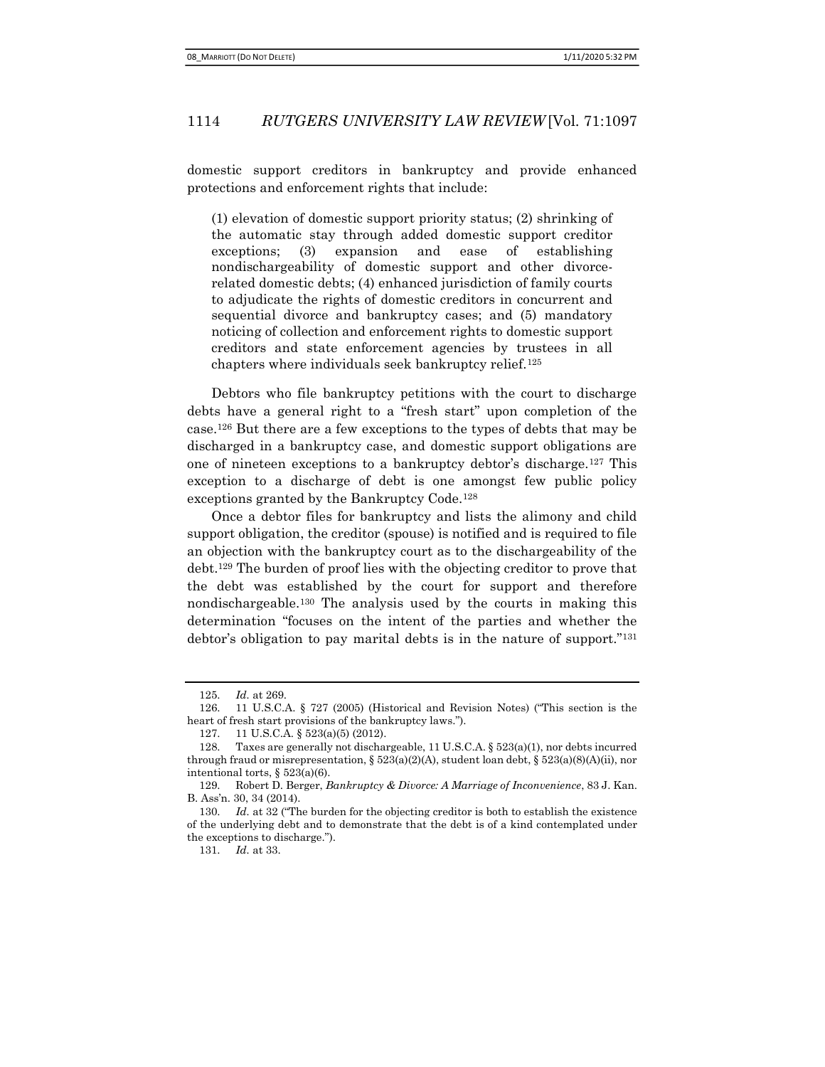domestic support creditors in bankruptcy and provide enhanced protections and enforcement rights that include:

(1) elevation of domestic support priority status; (2) shrinking of the automatic stay through added domestic support creditor exceptions; (3) expansion and ease of establishing nondischargeability of domestic support and other divorcerelated domestic debts; (4) enhanced jurisdiction of family courts to adjudicate the rights of domestic creditors in concurrent and sequential divorce and bankruptcy cases; and (5) mandatory noticing of collection and enforcement rights to domestic support creditors and state enforcement agencies by trustees in all chapters where individuals seek bankruptcy relief.<sup>125</sup>

Debtors who file bankruptcy petitions with the court to discharge debts have a general right to a "fresh start" upon completion of the case.126 But there are a few exceptions to the types of debts that may be discharged in a bankruptcy case, and domestic support obligations are one of nineteen exceptions to a bankruptcy debtor's discharge.127 This exception to a discharge of debt is one amongst few public policy exceptions granted by the Bankruptcy Code.<sup>128</sup>

Once a debtor files for bankruptcy and lists the alimony and child support obligation, the creditor (spouse) is notified and is required to file an objection with the bankruptcy court as to the dischargeability of the debt.129 The burden of proof lies with the objecting creditor to prove that the debt was established by the court for support and therefore nondischargeable.130 The analysis used by the courts in making this determination "focuses on the intent of the parties and whether the debtor's obligation to pay marital debts is in the nature of support."<sup>131</sup>

<sup>125.</sup> Id. at 269.

<sup>126. 11</sup> U.S.C.A. § 727 (2005) (Historical and Revision Notes) ("This section is the heart of fresh start provisions of the bankruptcy laws.").

<sup>127. 11</sup> U.S.C.A. § 523(a)(5) (2012).

<sup>128.</sup> Taxes are generally not dischargeable, 11 U.S.C.A. § 523(a)(1), nor debts incurred through fraud or misrepresentation,  $\S 523(a)(2)(A)$ , student loan debt,  $\S 523(a)(8)(A)(ii)$ , nor intentional torts, § 523(a)(6).

<sup>129.</sup> Robert D. Berger, Bankruptcy & Divorce: A Marriage of Inconvenience, 83 J. Kan. B. Ass'n. 30, 34 (2014).

<sup>130.</sup> Id. at 32 ("The burden for the objecting creditor is both to establish the existence of the underlying debt and to demonstrate that the debt is of a kind contemplated under the exceptions to discharge.").

<sup>131.</sup> Id. at 33.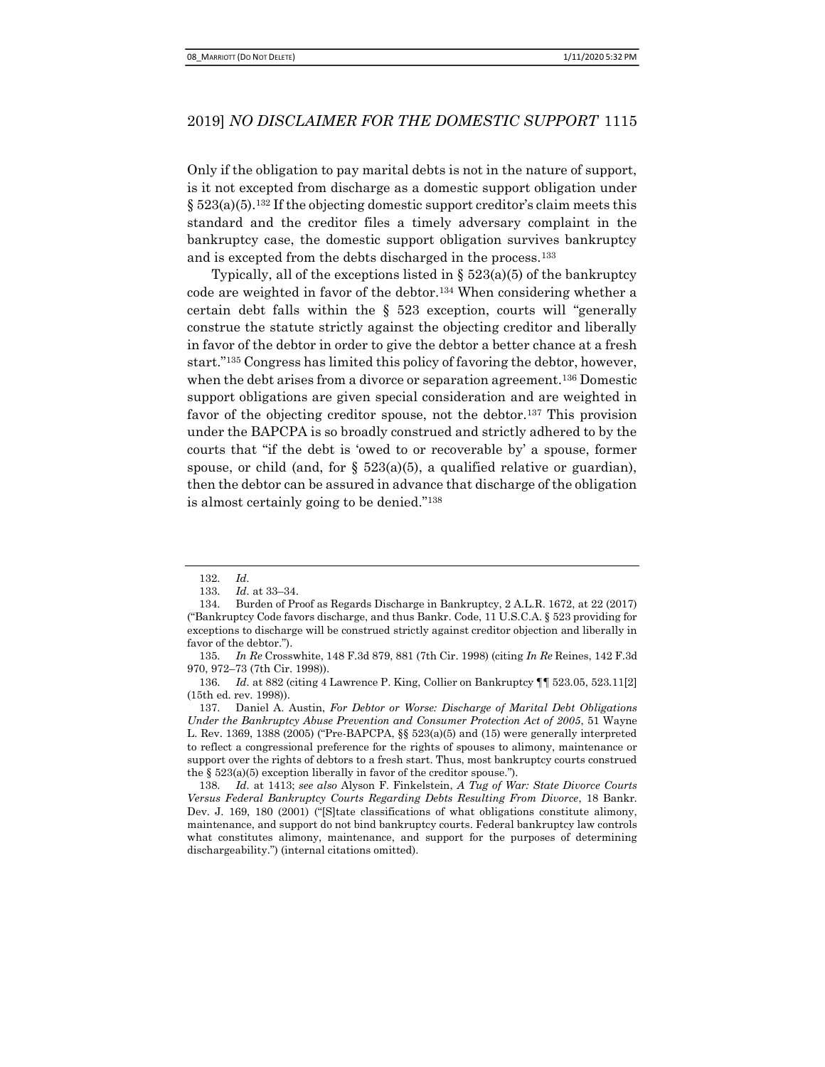Only if the obligation to pay marital debts is not in the nature of support, is it not excepted from discharge as a domestic support obligation under  $\S 523(a)(5).$ <sup>132</sup> If the objecting domestic support creditor's claim meets this standard and the creditor files a timely adversary complaint in the bankruptcy case, the domestic support obligation survives bankruptcy and is excepted from the debts discharged in the process.<sup>133</sup>

Typically, all of the exceptions listed in  $\S$  523(a)(5) of the bankruptcy code are weighted in favor of the debtor.134 When considering whether a certain debt falls within the § 523 exception, courts will "generally construe the statute strictly against the objecting creditor and liberally in favor of the debtor in order to give the debtor a better chance at a fresh start."135 Congress has limited this policy of favoring the debtor, however, when the debt arises from a divorce or separation agreement.136 Domestic support obligations are given special consideration and are weighted in favor of the objecting creditor spouse, not the debtor.<sup>137</sup> This provision under the BAPCPA is so broadly construed and strictly adhered to by the courts that "if the debt is 'owed to or recoverable by' a spouse, former spouse, or child (and, for  $\S$  523(a)(5), a qualified relative or guardian), then the debtor can be assured in advance that discharge of the obligation is almost certainly going to be denied."<sup>138</sup>

<sup>132.</sup> Id.

<sup>133.</sup> Id. at 33–34.

<sup>134.</sup> Burden of Proof as Regards Discharge in Bankruptcy, 2 A.L.R. 1672, at 22 (2017) ("Bankruptcy Code favors discharge, and thus Bankr. Code, 11 U.S.C.A. § 523 providing for exceptions to discharge will be construed strictly against creditor objection and liberally in favor of the debtor.").

<sup>135.</sup> In Re Crosswhite, 148 F.3d 879, 881 (7th Cir. 1998) (citing In Re Reines, 142 F.3d 970, 972–73 (7th Cir. 1998)).

<sup>136.</sup> Id. at 882 (citing 4 Lawrence P. King, Collier on Bankruptcy ¶¶ 523.05, 523.11[2] (15th ed. rev. 1998)).

<sup>137.</sup> Daniel A. Austin, For Debtor or Worse: Discharge of Marital Debt Obligations Under the Bankruptcy Abuse Prevention and Consumer Protection Act of 2005, 51 Wayne L. Rev. 1369, 1388 (2005) ("Pre-BAPCPA, §§ 523(a)(5) and (15) were generally interpreted to reflect a congressional preference for the rights of spouses to alimony, maintenance or support over the rights of debtors to a fresh start. Thus, most bankruptcy courts construed the  $\S$  523(a)(5) exception liberally in favor of the creditor spouse.").

<sup>138.</sup> Id. at 1413; see also Alyson F. Finkelstein, A Tug of War: State Divorce Courts Versus Federal Bankruptcy Courts Regarding Debts Resulting From Divorce, 18 Bankr. Dev. J. 169, 180 (2001) ("S tate classifications of what obligations constitute alimony, maintenance, and support do not bind bankruptcy courts. Federal bankruptcy law controls what constitutes alimony, maintenance, and support for the purposes of determining dischargeability.") (internal citations omitted).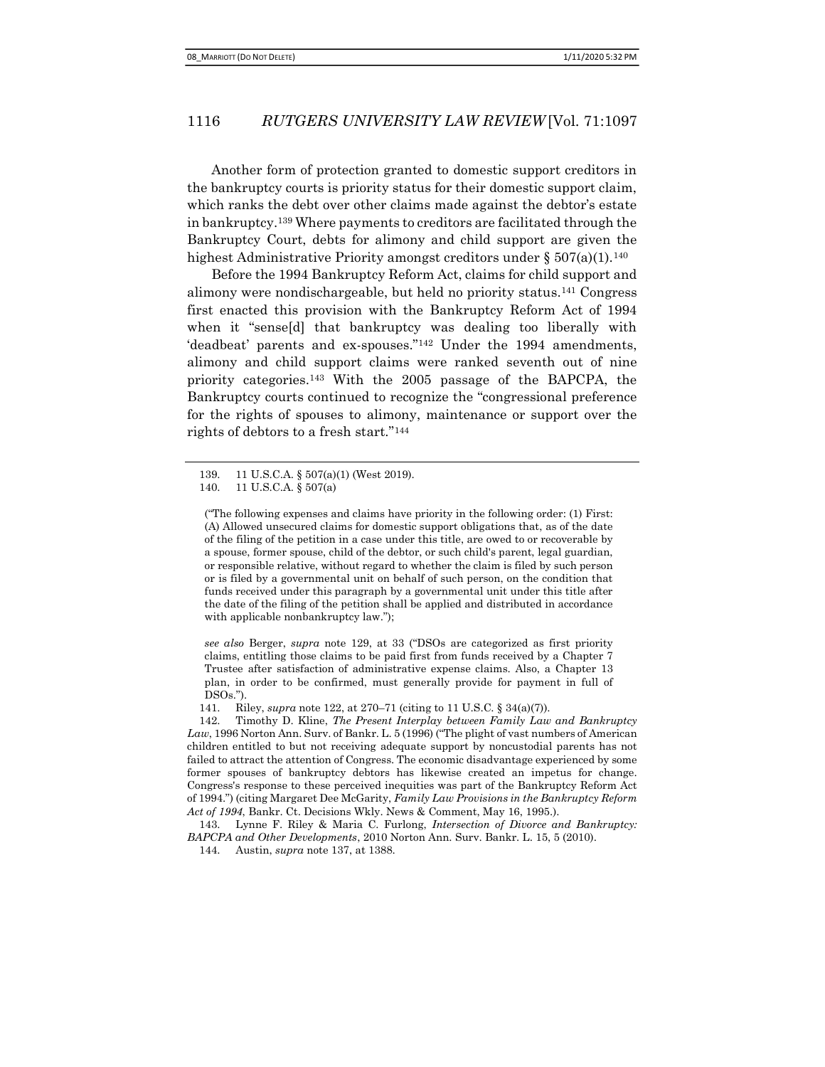Another form of protection granted to domestic support creditors in the bankruptcy courts is priority status for their domestic support claim, which ranks the debt over other claims made against the debtor's estate in bankruptcy.139 Where payments to creditors are facilitated through the Bankruptcy Court, debts for alimony and child support are given the highest Administrative Priority amongst creditors under §  $507(a)(1)$ .<sup>140</sup>

Before the 1994 Bankruptcy Reform Act, claims for child support and alimony were nondischargeable, but held no priority status.141 Congress first enacted this provision with the Bankruptcy Reform Act of 1994 when it "sense[d] that bankruptcy was dealing too liberally with 'deadbeat' parents and ex-spouses."142 Under the 1994 amendments, alimony and child support claims were ranked seventh out of nine priority categories.143 With the 2005 passage of the BAPCPA, the Bankruptcy courts continued to recognize the "congressional preference for the rights of spouses to alimony, maintenance or support over the rights of debtors to a fresh start."<sup>144</sup>

("The following expenses and claims have priority in the following order: (1) First: (A) Allowed unsecured claims for domestic support obligations that, as of the date of the filing of the petition in a case under this title, are owed to or recoverable by a spouse, former spouse, child of the debtor, or such child's parent, legal guardian, or responsible relative, without regard to whether the claim is filed by such person or is filed by a governmental unit on behalf of such person, on the condition that funds received under this paragraph by a governmental unit under this title after the date of the filing of the petition shall be applied and distributed in accordance with applicable nonbankruptcy law.");

see also Berger, supra note 129, at 33 ("DSOs are categorized as first priority claims, entitling those claims to be paid first from funds received by a Chapter 7 Trustee after satisfaction of administrative expense claims. Also, a Chapter 13 plan, in order to be confirmed, must generally provide for payment in full of DSOs.").

141. Riley, supra note 122, at 270–71 (citing to 11 U.S.C. § 34(a)(7)).

142. Timothy D. Kline, The Present Interplay between Family Law and Bankruptcy Law, 1996 Norton Ann. Surv. of Bankr. L. 5 (1996) ("The plight of vast numbers of American children entitled to but not receiving adequate support by noncustodial parents has not failed to attract the attention of Congress. The economic disadvantage experienced by some former spouses of bankruptcy debtors has likewise created an impetus for change. Congress's response to these perceived inequities was part of the Bankruptcy Reform Act of 1994.") (citing Margaret Dee McGarity, Family Law Provisions in the Bankruptcy Reform Act of 1994, Bankr. Ct. Decisions Wkly. News & Comment, May 16, 1995.).

143. Lynne F. Riley & Maria C. Furlong, Intersection of Divorce and Bankruptcy: BAPCPA and Other Developments, 2010 Norton Ann. Surv. Bankr. L. 15, 5 (2010).

144. Austin, supra note 137, at 1388.

<sup>139. 11</sup> U.S.C.A. § 507(a)(1) (West 2019).

<sup>140. 11</sup> U.S.C.A. § 507(a)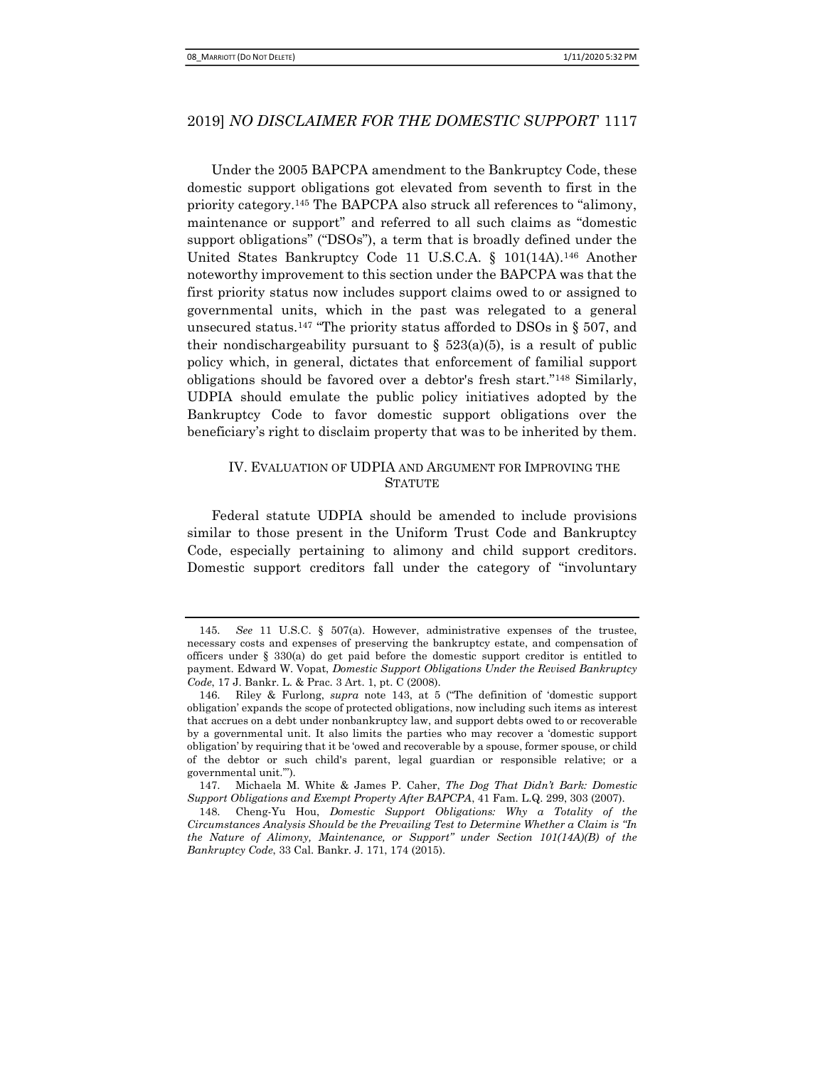Under the 2005 BAPCPA amendment to the Bankruptcy Code, these domestic support obligations got elevated from seventh to first in the priority category.145 The BAPCPA also struck all references to "alimony, maintenance or support" and referred to all such claims as "domestic support obligations" ("DSOs"), a term that is broadly defined under the United States Bankruptcy Code 11 U.S.C.A. § 101(14A).146 Another noteworthy improvement to this section under the BAPCPA was that the first priority status now includes support claims owed to or assigned to governmental units, which in the past was relegated to a general unsecured status.<sup>147</sup> "The priority status afforded to DSOs in § 507, and their nondischargeability pursuant to  $\S$  523(a)(5), is a result of public policy which, in general, dictates that enforcement of familial support obligations should be favored over a debtor's fresh start."148 Similarly, UDPIA should emulate the public policy initiatives adopted by the Bankruptcy Code to favor domestic support obligations over the beneficiary's right to disclaim property that was to be inherited by them.

# IV. EVALUATION OF UDPIA AND ARGUMENT FOR IMPROVING THE **STATUTE**

Federal statute UDPIA should be amended to include provisions similar to those present in the Uniform Trust Code and Bankruptcy Code, especially pertaining to alimony and child support creditors. Domestic support creditors fall under the category of "involuntary

<sup>145.</sup> See 11 U.S.C. § 507(a). However, administrative expenses of the trustee, necessary costs and expenses of preserving the bankruptcy estate, and compensation of officers under  $\S$  330(a) do get paid before the domestic support creditor is entitled to payment. Edward W. Vopat, Domestic Support Obligations Under the Revised Bankruptcy Code, 17 J. Bankr. L. & Prac. 3 Art. 1, pt. C (2008).

<sup>146.</sup> Riley & Furlong, supra note 143, at 5 ("The definition of 'domestic support obligation' expands the scope of protected obligations, now including such items as interest that accrues on a debt under nonbankruptcy law, and support debts owed to or recoverable by a governmental unit. It also limits the parties who may recover a 'domestic support obligation' by requiring that it be 'owed and recoverable by a spouse, former spouse, or child of the debtor or such child's parent, legal guardian or responsible relative; or a governmental unit.'").

<sup>147.</sup> Michaela M. White & James P. Caher, The Dog That Didn't Bark: Domestic Support Obligations and Exempt Property After BAPCPA, 41 Fam. L.Q. 299, 303 (2007).

<sup>148.</sup> Cheng-Yu Hou, Domestic Support Obligations: Why a Totality of the Circumstances Analysis Should be the Prevailing Test to Determine Whether a Claim is "In the Nature of Alimony, Maintenance, or Support" under Section 101(14A)(B) of the Bankruptcy Code, 33 Cal. Bankr. J. 171, 174 (2015).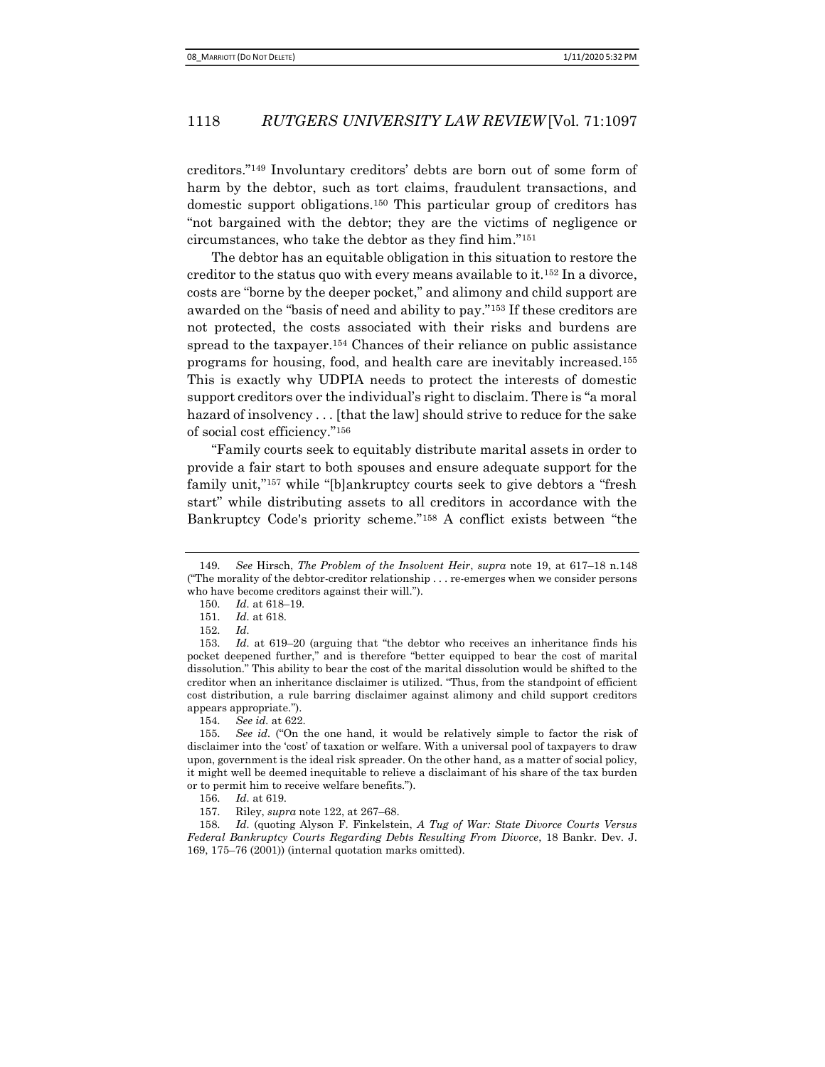creditors."149 Involuntary creditors' debts are born out of some form of harm by the debtor, such as tort claims, fraudulent transactions, and domestic support obligations.150 This particular group of creditors has "not bargained with the debtor; they are the victims of negligence or circumstances, who take the debtor as they find him."<sup>151</sup>

The debtor has an equitable obligation in this situation to restore the creditor to the status quo with every means available to it.152 In a divorce, costs are "borne by the deeper pocket," and alimony and child support are awarded on the "basis of need and ability to pay."153 If these creditors are not protected, the costs associated with their risks and burdens are spread to the taxpayer.154 Chances of their reliance on public assistance programs for housing, food, and health care are inevitably increased.<sup>155</sup> This is exactly why UDPIA needs to protect the interests of domestic support creditors over the individual's right to disclaim. There is "a moral hazard of insolvency . . . [that the law] should strive to reduce for the sake of social cost efficiency."<sup>156</sup>

"Family courts seek to equitably distribute marital assets in order to provide a fair start to both spouses and ensure adequate support for the family unit,"157 while "[b]ankruptcy courts seek to give debtors a "fresh start" while distributing assets to all creditors in accordance with the Bankruptcy Code's priority scheme."158 A conflict exists between "the

<sup>149.</sup> See Hirsch, The Problem of the Insolvent Heir, supra note 19, at 617–18 n.148 ("The morality of the debtor-creditor relationship . . . re-emerges when we consider persons who have become creditors against their will.").

<sup>150.</sup> Id. at 618–19.

<sup>151.</sup> Id. at 618.

<sup>152.</sup> Id.

<sup>153.</sup> Id. at 619–20 (arguing that "the debtor who receives an inheritance finds his pocket deepened further," and is therefore "better equipped to bear the cost of marital dissolution." This ability to bear the cost of the marital dissolution would be shifted to the creditor when an inheritance disclaimer is utilized. "Thus, from the standpoint of efficient cost distribution, a rule barring disclaimer against alimony and child support creditors appears appropriate.").

<sup>154.</sup> See id. at 622.

<sup>155.</sup> See id. ("On the one hand, it would be relatively simple to factor the risk of disclaimer into the 'cost' of taxation or welfare. With a universal pool of taxpayers to draw upon, government is the ideal risk spreader. On the other hand, as a matter of social policy, it might well be deemed inequitable to relieve a disclaimant of his share of the tax burden or to permit him to receive welfare benefits.").

<sup>156.</sup> Id. at 619.

<sup>157.</sup> Riley, supra note 122, at 267–68.

<sup>158.</sup> Id. (quoting Alyson F. Finkelstein, A Tug of War: State Divorce Courts Versus Federal Bankruptcy Courts Regarding Debts Resulting From Divorce, 18 Bankr. Dev. J. 169, 175–76 (2001)) (internal quotation marks omitted).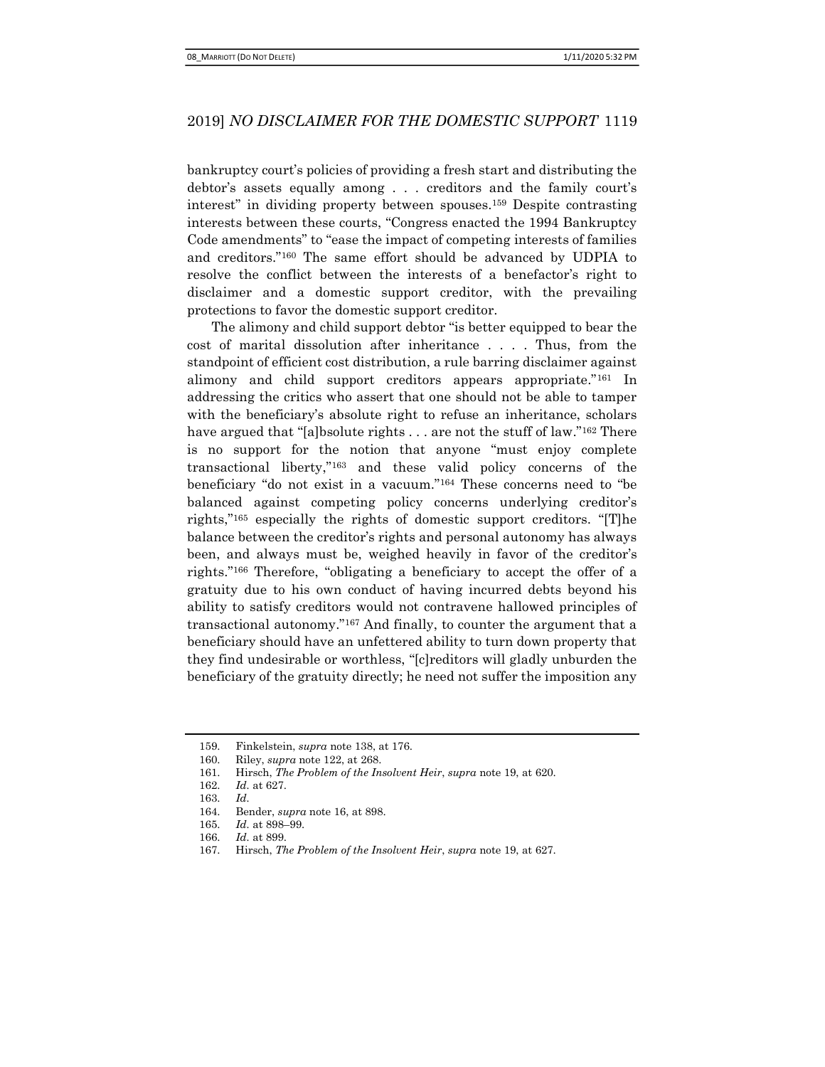bankruptcy court's policies of providing a fresh start and distributing the debtor's assets equally among . . . creditors and the family court's interest" in dividing property between spouses.159 Despite contrasting interests between these courts, "Congress enacted the 1994 Bankruptcy Code amendments" to "ease the impact of competing interests of families and creditors."160 The same effort should be advanced by UDPIA to resolve the conflict between the interests of a benefactor's right to disclaimer and a domestic support creditor, with the prevailing protections to favor the domestic support creditor.

The alimony and child support debtor "is better equipped to bear the cost of marital dissolution after inheritance . . . . Thus, from the standpoint of efficient cost distribution, a rule barring disclaimer against alimony and child support creditors appears appropriate."161 In addressing the critics who assert that one should not be able to tamper with the beneficiary's absolute right to refuse an inheritance, scholars have argued that "[a]bsolute rights . . . are not the stuff of law."<sup>162</sup> There is no support for the notion that anyone "must enjoy complete transactional liberty,"163 and these valid policy concerns of the beneficiary "do not exist in a vacuum."164 These concerns need to "be balanced against competing policy concerns underlying creditor's rights,"165 especially the rights of domestic support creditors. "[T]he balance between the creditor's rights and personal autonomy has always been, and always must be, weighed heavily in favor of the creditor's rights."166 Therefore, "obligating a beneficiary to accept the offer of a gratuity due to his own conduct of having incurred debts beyond his ability to satisfy creditors would not contravene hallowed principles of transactional autonomy."167 And finally, to counter the argument that a beneficiary should have an unfettered ability to turn down property that they find undesirable or worthless, "[c]reditors will gladly unburden the beneficiary of the gratuity directly; he need not suffer the imposition any

<sup>159.</sup> Finkelstein, supra note 138, at 176.

<sup>160.</sup> Riley, supra note 122, at 268.

<sup>161.</sup> Hirsch, The Problem of the Insolvent Heir, supra note 19, at 620.

<sup>162.</sup> Id. at 627.

<sup>163.</sup> Id.

<sup>164.</sup> Bender, supra note 16, at 898.

<sup>165.</sup> Id. at 898–99.

<sup>166.</sup> Id. at 899.

<sup>167.</sup> Hirsch, The Problem of the Insolvent Heir, supra note 19, at 627.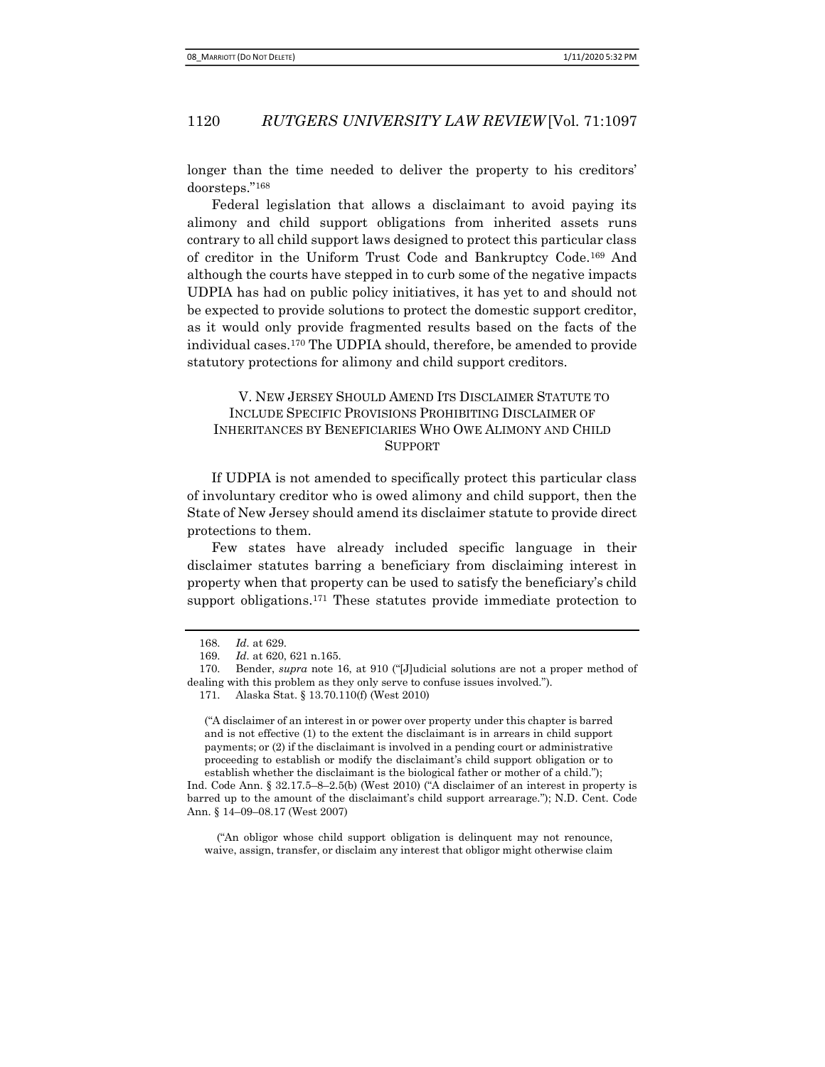longer than the time needed to deliver the property to his creditors' doorsteps."<sup>168</sup>

Federal legislation that allows a disclaimant to avoid paying its alimony and child support obligations from inherited assets runs contrary to all child support laws designed to protect this particular class of creditor in the Uniform Trust Code and Bankruptcy Code.169 And although the courts have stepped in to curb some of the negative impacts UDPIA has had on public policy initiatives, it has yet to and should not be expected to provide solutions to protect the domestic support creditor, as it would only provide fragmented results based on the facts of the individual cases.170 The UDPIA should, therefore, be amended to provide statutory protections for alimony and child support creditors.

## V. NEW JERSEY SHOULD AMEND ITS DISCLAIMER STATUTE TO INCLUDE SPECIFIC PROVISIONS PROHIBITING DISCLAIMER OF INHERITANCES BY BENEFICIARIES WHO OWE ALIMONY AND CHILD SUPPORT

If UDPIA is not amended to specifically protect this particular class of involuntary creditor who is owed alimony and child support, then the State of New Jersey should amend its disclaimer statute to provide direct protections to them.

Few states have already included specific language in their disclaimer statutes barring a beneficiary from disclaiming interest in property when that property can be used to satisfy the beneficiary's child support obligations.<sup>171</sup> These statutes provide immediate protection to

171. Alaska Stat. § 13.70.110(f) (West 2010)

("A disclaimer of an interest in or power over property under this chapter is barred and is not effective (1) to the extent the disclaimant is in arrears in child support payments; or (2) if the disclaimant is involved in a pending court or administrative proceeding to establish or modify the disclaimant's child support obligation or to establish whether the disclaimant is the biological father or mother of a child.");

Ind. Code Ann. § 32.17.5–8–2.5(b) (West 2010) ("A disclaimer of an interest in property is barred up to the amount of the disclaimant's child support arrearage."); N.D. Cent. Code Ann. § 14–09–08.17 (West 2007)

("An obligor whose child support obligation is delinquent may not renounce, waive, assign, transfer, or disclaim any interest that obligor might otherwise claim

<sup>168.</sup> Id. at 629.

<sup>169.</sup> Id. at 620, 621 n.165.

<sup>170.</sup> Bender, supra note 16, at 910 ("[J]udicial solutions are not a proper method of dealing with this problem as they only serve to confuse issues involved.").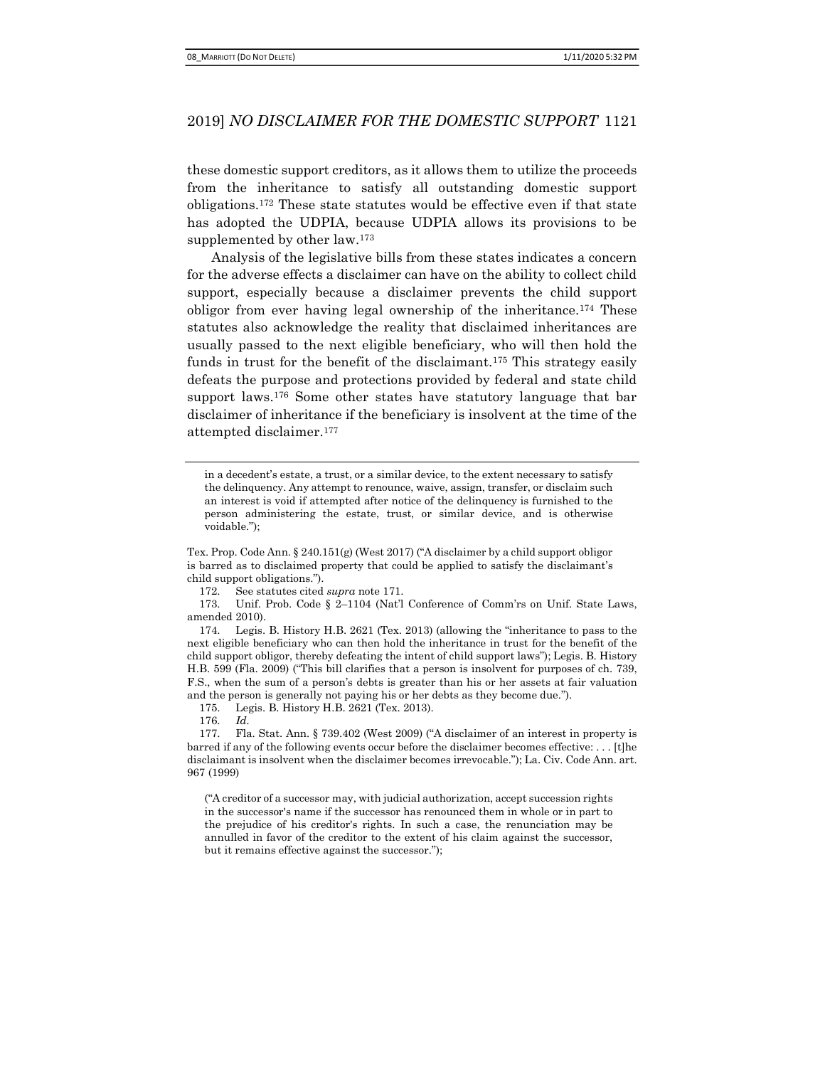these domestic support creditors, as it allows them to utilize the proceeds from the inheritance to satisfy all outstanding domestic support obligations.172 These state statutes would be effective even if that state has adopted the UDPIA, because UDPIA allows its provisions to be supplemented by other law.<sup>173</sup>

Analysis of the legislative bills from these states indicates a concern for the adverse effects a disclaimer can have on the ability to collect child support, especially because a disclaimer prevents the child support obligor from ever having legal ownership of the inheritance.174 These statutes also acknowledge the reality that disclaimed inheritances are usually passed to the next eligible beneficiary, who will then hold the funds in trust for the benefit of the disclaimant.175 This strategy easily defeats the purpose and protections provided by federal and state child support laws.<sup>176</sup> Some other states have statutory language that bar disclaimer of inheritance if the beneficiary is insolvent at the time of the attempted disclaimer.<sup>177</sup>

in a decedent's estate, a trust, or a similar device, to the extent necessary to satisfy the delinquency. Any attempt to renounce, waive, assign, transfer, or disclaim such an interest is void if attempted after notice of the delinquency is furnished to the person administering the estate, trust, or similar device, and is otherwise voidable.");

172. See statutes cited supra note 171.

173. Unif. Prob. Code § 2–1104 (Nat'l Conference of Comm'rs on Unif. State Laws, amended 2010).

174. Legis. B. History H.B. 2621 (Tex. 2013) (allowing the "inheritance to pass to the next eligible beneficiary who can then hold the inheritance in trust for the benefit of the child support obligor, thereby defeating the intent of child support laws"); Legis. B. History H.B. 599 (Fla. 2009) ("This bill clarifies that a person is insolvent for purposes of ch. 739, F.S., when the sum of a person's debts is greater than his or her assets at fair valuation and the person is generally not paying his or her debts as they become due.").

175. Legis. B. History H.B. 2621 (Tex. 2013).

176. Id.

("A creditor of a successor may, with judicial authorization, accept succession rights in the successor's name if the successor has renounced them in whole or in part to the prejudice of his creditor's rights. In such a case, the renunciation may be annulled in favor of the creditor to the extent of his claim against the successor, but it remains effective against the successor.");

Tex. Prop. Code Ann. § 240.151(g) (West 2017) ("A disclaimer by a child support obligor is barred as to disclaimed property that could be applied to satisfy the disclaimant's child support obligations.").

<sup>177.</sup> Fla. Stat. Ann. § 739.402 (West 2009) ("A disclaimer of an interest in property is barred if any of the following events occur before the disclaimer becomes effective: . . . [t]he disclaimant is insolvent when the disclaimer becomes irrevocable."); La. Civ. Code Ann. art. 967 (1999)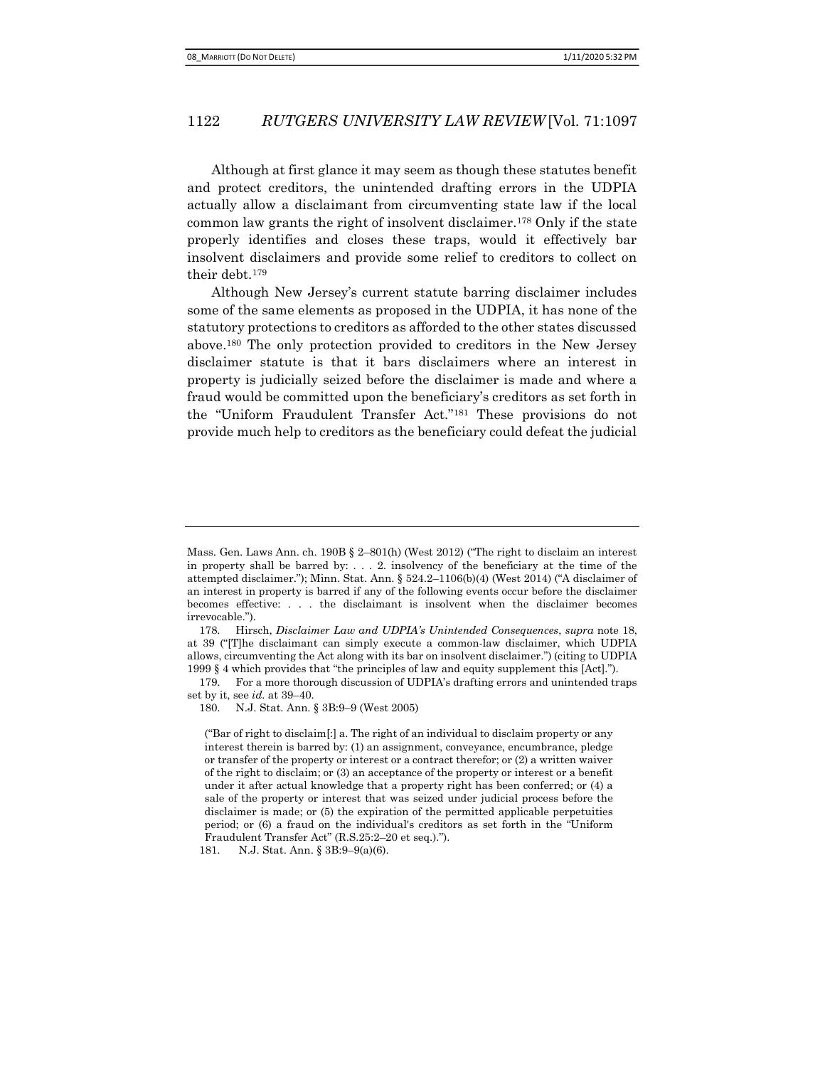Although at first glance it may seem as though these statutes benefit and protect creditors, the unintended drafting errors in the UDPIA actually allow a disclaimant from circumventing state law if the local common law grants the right of insolvent disclaimer.178 Only if the state properly identifies and closes these traps, would it effectively bar insolvent disclaimers and provide some relief to creditors to collect on their debt.<sup>179</sup>

Although New Jersey's current statute barring disclaimer includes some of the same elements as proposed in the UDPIA, it has none of the statutory protections to creditors as afforded to the other states discussed above.180 The only protection provided to creditors in the New Jersey disclaimer statute is that it bars disclaimers where an interest in property is judicially seized before the disclaimer is made and where a fraud would be committed upon the beneficiary's creditors as set forth in the "Uniform Fraudulent Transfer Act."181 These provisions do not provide much help to creditors as the beneficiary could defeat the judicial

179. For a more thorough discussion of UDPIA's drafting errors and unintended traps set by it, see id. at 39–40.

Mass. Gen. Laws Ann. ch. 190B § 2–801(h) (West 2012) ("The right to disclaim an interest in property shall be barred by:  $\ldots$  2. insolvency of the beneficiary at the time of the attempted disclaimer."); Minn. Stat. Ann. § 524.2–1106(b)(4) (West 2014) ("A disclaimer of an interest in property is barred if any of the following events occur before the disclaimer becomes effective: . . . the disclaimant is insolvent when the disclaimer becomes irrevocable.").

<sup>178.</sup> Hirsch, Disclaimer Law and UDPIA's Unintended Consequences, supra note 18, at 39 ("[T]he disclaimant can simply execute a common-law disclaimer, which UDPIA allows, circumventing the Act along with its bar on insolvent disclaimer.") (citing to UDPIA 1999 § 4 which provides that "the principles of law and equity supplement this [Act].").

<sup>180.</sup> N.J. Stat. Ann. § 3B:9–9 (West 2005)

<sup>(&</sup>quot;Bar of right to disclaim[:] a. The right of an individual to disclaim property or any interest therein is barred by: (1) an assignment, conveyance, encumbrance, pledge or transfer of the property or interest or a contract therefor; or (2) a written waiver of the right to disclaim; or (3) an acceptance of the property or interest or a benefit under it after actual knowledge that a property right has been conferred; or (4) a sale of the property or interest that was seized under judicial process before the disclaimer is made; or (5) the expiration of the permitted applicable perpetuities period; or (6) a fraud on the individual's creditors as set forth in the "Uniform Fraudulent Transfer Act" (R.S.25:2–20 et seq.).").

<sup>181.</sup> N.J. Stat. Ann. § 3B:9–9(a)(6).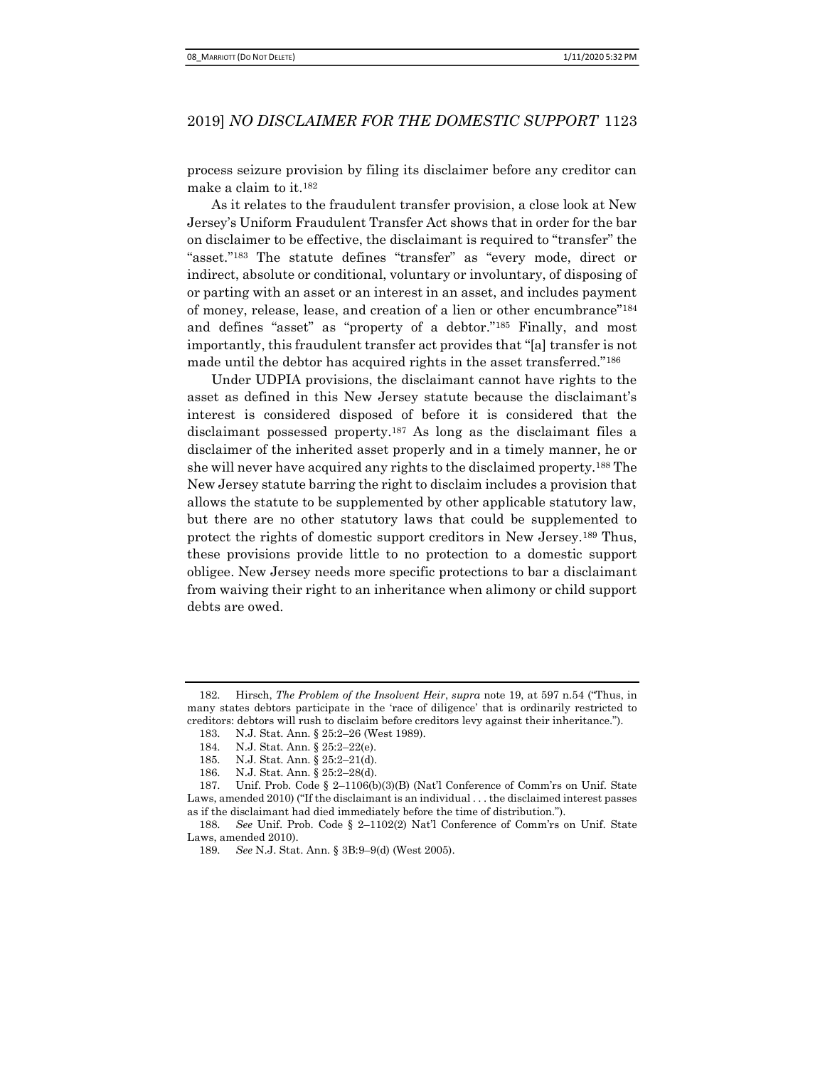process seizure provision by filing its disclaimer before any creditor can make a claim to it.<sup>182</sup>

As it relates to the fraudulent transfer provision, a close look at New Jersey's Uniform Fraudulent Transfer Act shows that in order for the bar on disclaimer to be effective, the disclaimant is required to "transfer" the "asset."183 The statute defines "transfer" as "every mode, direct or indirect, absolute or conditional, voluntary or involuntary, of disposing of or parting with an asset or an interest in an asset, and includes payment of money, release, lease, and creation of a lien or other encumbrance"<sup>184</sup> and defines "asset" as "property of a debtor."185 Finally, and most importantly, this fraudulent transfer act provides that "[a] transfer is not made until the debtor has acquired rights in the asset transferred."<sup>186</sup>

Under UDPIA provisions, the disclaimant cannot have rights to the asset as defined in this New Jersey statute because the disclaimant's interest is considered disposed of before it is considered that the disclaimant possessed property.187 As long as the disclaimant files a disclaimer of the inherited asset properly and in a timely manner, he or she will never have acquired any rights to the disclaimed property.188 The New Jersey statute barring the right to disclaim includes a provision that allows the statute to be supplemented by other applicable statutory law, but there are no other statutory laws that could be supplemented to protect the rights of domestic support creditors in New Jersey.189 Thus, these provisions provide little to no protection to a domestic support obligee. New Jersey needs more specific protections to bar a disclaimant from waiving their right to an inheritance when alimony or child support debts are owed.

<sup>182.</sup> Hirsch, The Problem of the Insolvent Heir, supra note 19, at 597 n.54 ("Thus, in many states debtors participate in the 'race of diligence' that is ordinarily restricted to creditors: debtors will rush to disclaim before creditors levy against their inheritance.").

<sup>183.</sup> N.J. Stat. Ann. § 25:2–26 (West 1989).

<sup>184.</sup> N.J. Stat. Ann. § 25:2–22(e).

<sup>185.</sup> N.J. Stat. Ann. § 25:2–21(d).

<sup>186.</sup> N.J. Stat. Ann. § 25:2–28(d).

<sup>187.</sup> Unif. Prob. Code § 2–1106(b)(3)(B) (Nat'l Conference of Comm'rs on Unif. State Laws, amended 2010) ("If the disclaimant is an individual . . . the disclaimed interest passes as if the disclaimant had died immediately before the time of distribution.").

<sup>188.</sup> See Unif. Prob. Code § 2–1102(2) Nat'l Conference of Comm'rs on Unif. State Laws, amended 2010).

<sup>189.</sup> See N.J. Stat. Ann. § 3B:9–9(d) (West 2005).